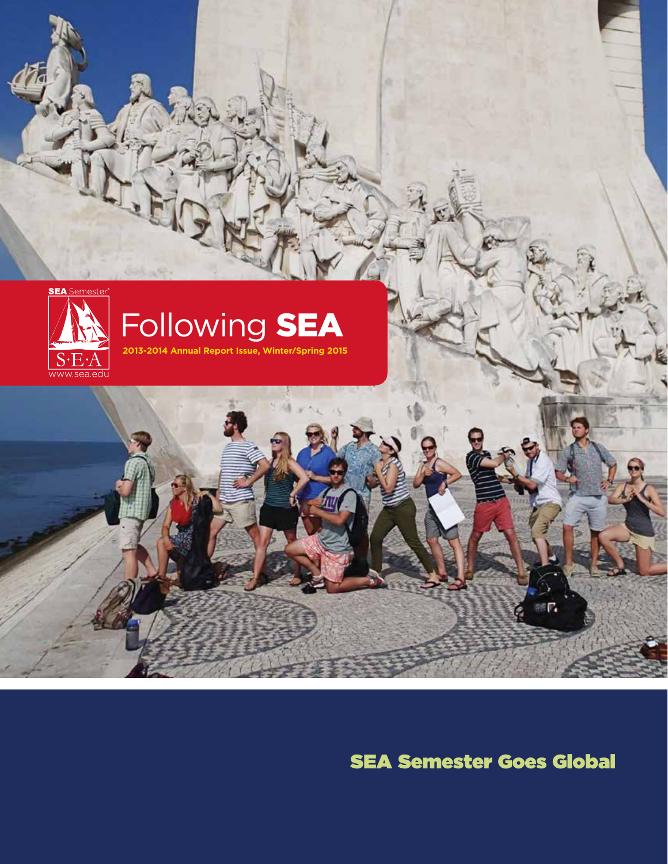

SEA Semester Goes Global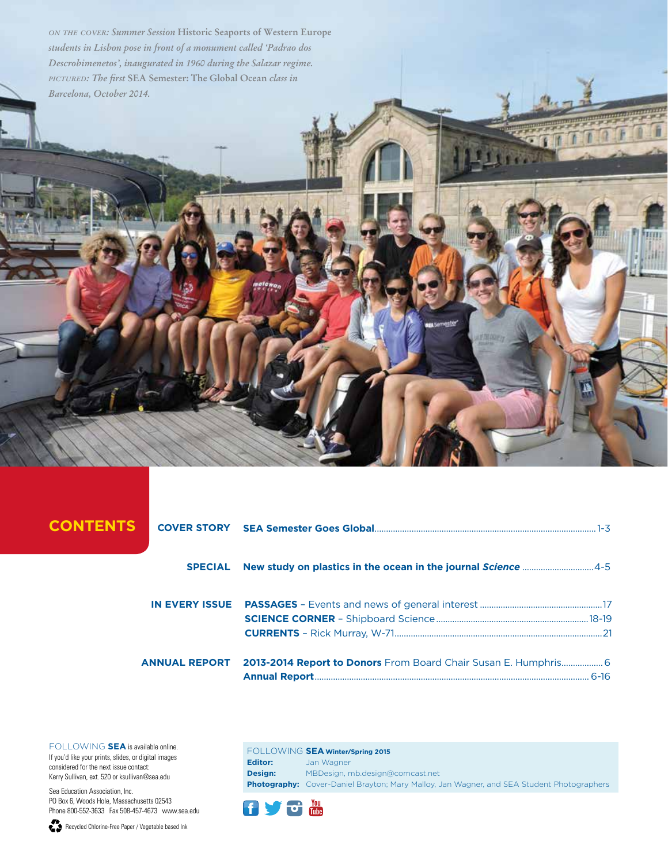*on the cover: Summer Session* **Historic Seaports of Western Europe** *students in Lisbon pose in front of a monument called 'Padrao dos Descrobimenetos', inaugurated in 1960 during the Salazar regime. pictured: The first* **SEA Semester: The Global Ocean** *class in Barcelona, October 2014.*

# CONTENTS

| <b>SPECIAL</b> New study on plastics in the ocean in the journal Science  4-5 |  |
|-------------------------------------------------------------------------------|--|
|                                                                               |  |
|                                                                               |  |
| ANNUAL REPORT 2013-2014 Report to Donors From Board Chair Susan E. Humphris 6 |  |

FOLLOWING **SEA** is available online. If you'd like your prints, slides, or digital images considered for the next issue contact: Kerry Sullivan, ext. 520 or ksullivan@sea.edu

Sea Education Association, Inc. PO Box 6, Woods Hole, Massachusetts 02543 Phone 800-552-3633 Fax 508-457-4673 www.sea.edu

Recycled Chlorine-Free Paper / Vegetable based Ink

FOLLOWING **SEA Winter/Spring 2015 Editor:** Jan Wagner **Design:** MBDesign, mb.design@comcast.net **Photography:** Cover-Daniel Brayton; Mary Malloy, Jan Wagner, and SEA Student Photographers

 $\frac{v_{\text{out}}}{v_{\text{out}}}$  $\mathbf{f}$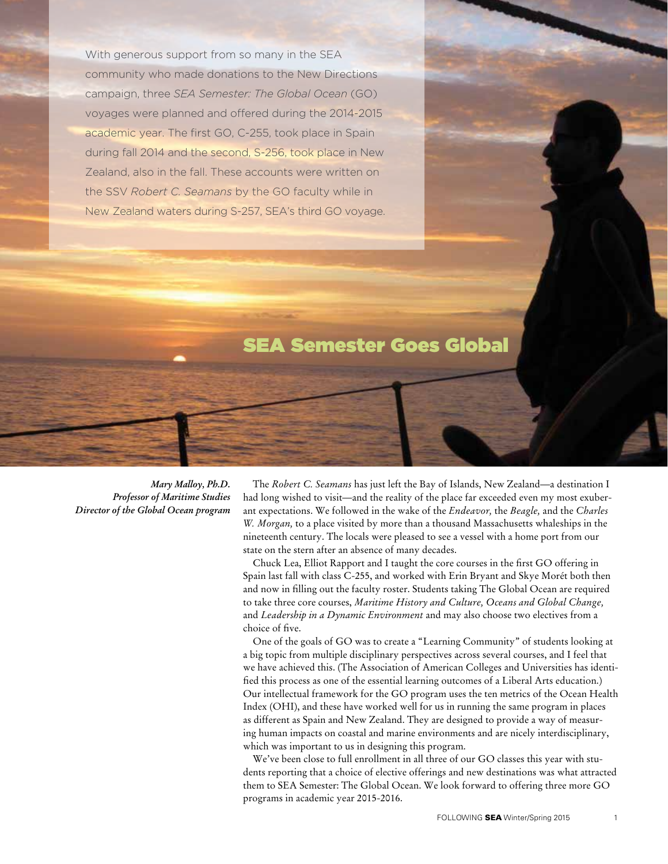With generous support from so many in the SEA community who made donations to the New Directions campaign, three *SEA Semester: The Global Ocean* (GO) voyages were planned and offered during the 2014-2015 academic year. The first GO, C-255, took place in Spain during fall 2014 and the second, S-256, took place in New Zealand, also in the fall. These accounts were written on the SSV *Robert C. Seamans* by the GO faculty while in New Zealand waters during S-257, SEA's third GO voyage.

# SEA Semester Goes Global

*Mary Malloy, Ph.D. Professor of Maritime Studies Director of the Global Ocean program*

The *Robert C. Seamans* has just left the Bay of Islands, New Zealand—a destination I had long wished to visit—and the reality of the place far exceeded even my most exuberant expectations. We followed in the wake of the *Endeavor,* the *Beagle,* and the *Charles W. Morgan,* to a place visited by more than a thousand Massachusetts whaleships in the nineteenth century. The locals were pleased to see a vessel with a home port from our state on the stern after an absence of many decades.

Chuck Lea, Elliot Rapport and I taught the core courses in the first GO offering in Spain last fall with class C-255, and worked with Erin Bryant and Skye Morét both then and now in filling out the faculty roster. Students taking The Global Ocean are required to take three core courses, *Maritime History and Culture, Oceans and Global Change,*  and *Leadership in a Dynamic Environment* and may also choose two electives from a choice of five.

One of the goals of GO was to create a "Learning Community" of students looking at a big topic from multiple disciplinary perspectives across several courses, and I feel that we have achieved this. (The Association of American Colleges and Universities has identified this process as one of the essential learning outcomes of a Liberal Arts education.) Our intellectual framework for the GO program uses the ten metrics of the Ocean Health Index (OHI), and these have worked well for us in running the same program in places as different as Spain and New Zealand. They are designed to provide a way of measuring human impacts on coastal and marine environments and are nicely interdisciplinary, which was important to us in designing this program.

We've been close to full enrollment in all three of our GO classes this year with students reporting that a choice of elective offerings and new destinations was what attracted them to SEA Semester: The Global Ocean. We look forward to offering three more GO programs in academic year 2015-2016.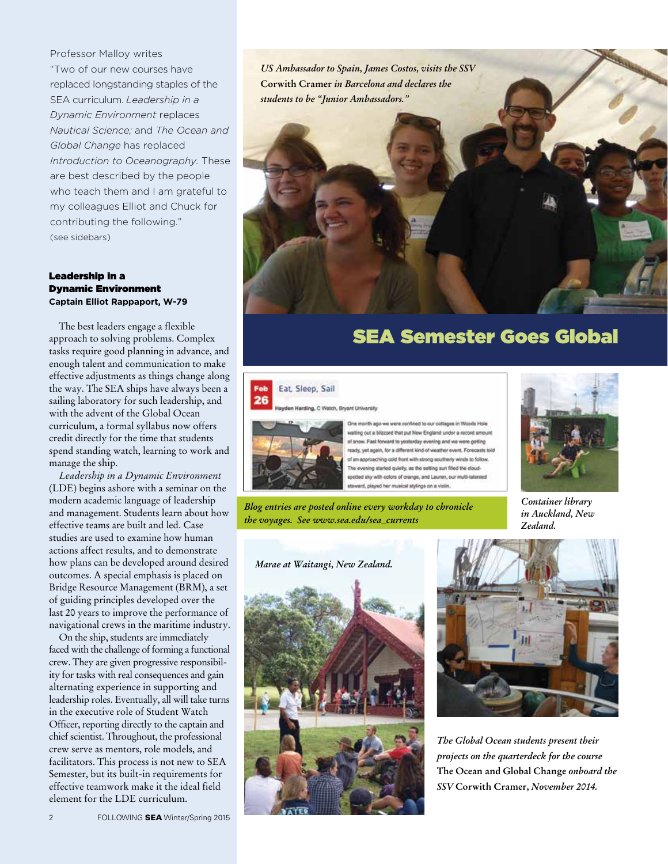Professor Malloy writes "Two of our new courses have replaced longstanding staples of the SEA curriculum. *Leadership in a Dynamic Environment* replaces *Nautical Science;* and *The Ocean and Global Change* has replaced *Introduction to Oceanography.* These are best described by the people who teach them and I am grateful to my colleagues Elliot and Chuck for contributing the following." (see sidebars)

# Leadership in a Dynamic Environment **Captain Elliot Rappaport, W-79**

The best leaders engage a flexible approach to solving problems. Complex tasks require good planning in advance, and enough talent and communication to make effective adjustments as things change along the way. The SEA ships have always been a sailing laboratory for such leadership, and with the advent of the Global Ocean curriculum, a formal syllabus now offers credit directly for the time that students spend standing watch, learning to work and manage the ship.

*Leadership in a Dynamic Environment*  (LDE) begins ashore with a seminar on the modern academic language of leadership and management. Students learn about how effective teams are built and led. Case studies are used to examine how human actions affect results, and to demonstrate how plans can be developed around desired outcomes. A special emphasis is placed on Bridge Resource Management (BRM), a set of guiding principles developed over the last 20 years to improve the performance of navigational crews in the maritime industry.

On the ship, students are immediately faced with the challenge of forming a functional crew. They are given progressive responsibility for tasks with real consequences and gain alternating experience in supporting and leadership roles. Eventually, all will take turns in the executive role of Student Watch Officer, reporting directly to the captain and chief scientist. Throughout, the professional crew serve as mentors, role models, and facilitators. This process is not new to SEA Semester, but its built-in requirements for effective teamwork make it the ideal field element for the LDE curriculum.

*US Ambassador to Spain, James Costos, visits the SSV*  **Corwith Cramer** *in Barcelona and declares the students to be "Junior Ambassadors."*



# SEA Semester Goes Global

# Eat, Sleep, Sail ding, C Watch, Bryant University



The month ago we were contined to our cottages in Woods Hole iting out a blizzard that put New England under a record amour of snow. Fast forward to yesterday evening and we were getting ready, yet again, for a different kind of weather event. Forecasts told of an approaching cold front with strong southerly winds to follow. The evening started quiety, as the setting sun filed the cloudspotted sky with colors of orange, and Lauren, our multi-talented steward, played her musical stylings on a violin

*Blog entries are posted online every workday to chronicle the voyages. See www.sea.edu/sea\_currents*







*Container library in Auckland, New* 

*Zealand.*

*The Global Ocean students present their projects on the quarterdeck for the course*  **The Ocean and Global Change** *onboard the SSV* **Corwith Cramer,** *November 2014.*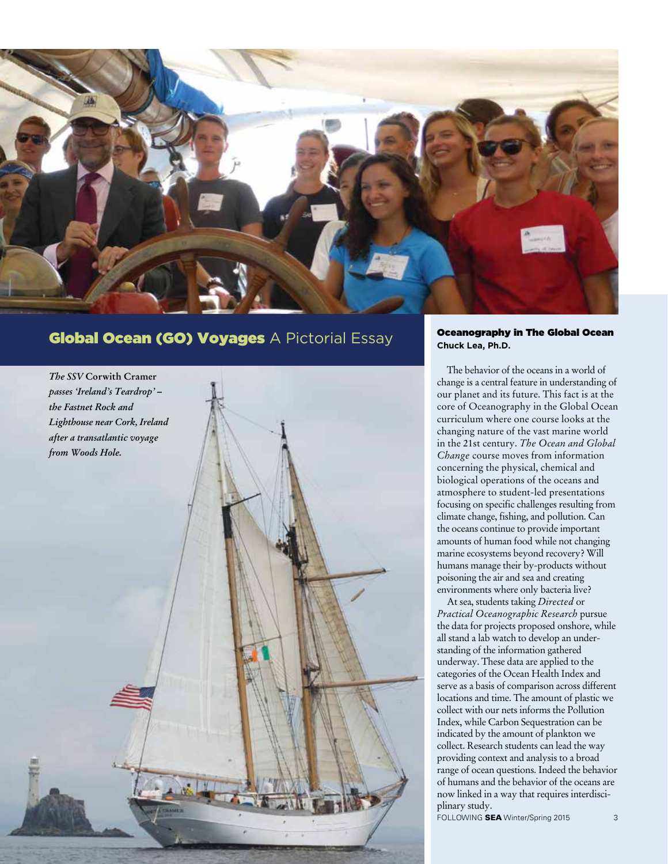

# Global Ocean (GO) Voyages A Pictorial Essay



Oceanography in The Global Ocean **Chuck Lea, Ph.D.**

The behavior of the oceans in a world of change is a central feature in understanding of our planet and its future. This fact is at the core of Oceanography in the Global Ocean curriculum where one course looks at the changing nature of the vast marine world in the 21st century. *The Ocean and Global Change* course moves from information concerning the physical, chemical and biological operations of the oceans and atmosphere to student-led presentations focusing on specific challenges resulting from climate change, fishing, and pollution. Can the oceans continue to provide important amounts of human food while not changing marine ecosystems beyond recovery? Will humans manage their by-products without poisoning the air and sea and creating environments where only bacteria live?

At sea, students taking *Directed* or *Practical Oceanographic Research* pursue the data for projects proposed onshore, while all stand a lab watch to develop an understanding of the information gathered underway. These data are applied to the categories of the Ocean Health Index and serve as a basis of comparison across different locations and time. The amount of plastic we collect with our nets informs the Pollution Index, while Carbon Sequestration can be indicated by the amount of plankton we collect. Research students can lead the way providing context and analysis to a broad range of ocean questions. Indeed the behavior of humans and the behavior of the oceans are now linked in a way that requires interdisciplinary study.

FOLLOWING SEA Winter/Spring 2015 3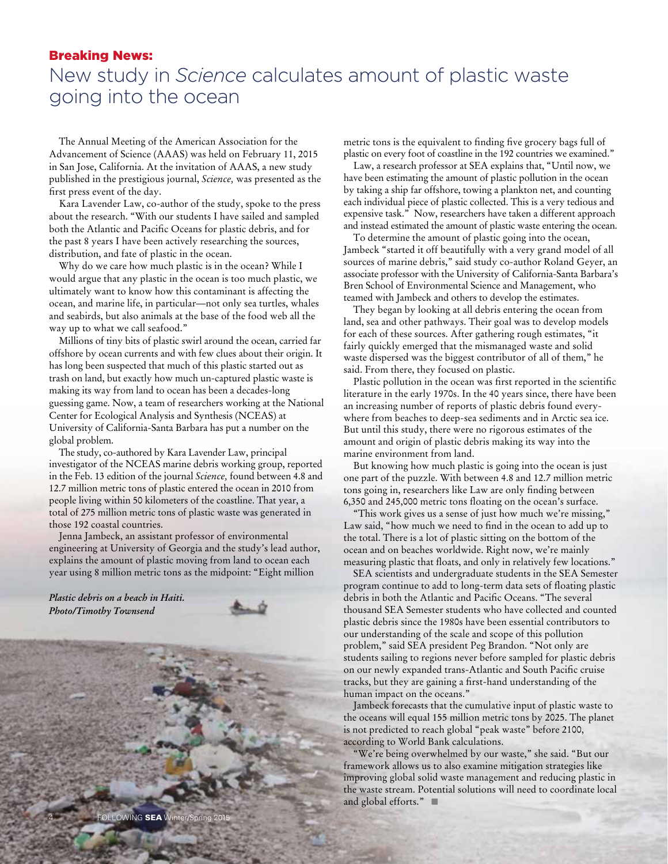# Breaking News:

# New study in *Science* calculates amount of plastic waste going into the ocean

The Annual Meeting of the American Association for the Advancement of Science (AAAS) was held on February 11, 2015 in San Jose, California. At the invitation of AAAS, a new study published in the prestigious journal, *Science,* was presented as the first press event of the day.

Kara Lavender Law, co-author of the study, spoke to the press about the research. "With our students I have sailed and sampled both the Atlantic and Pacific Oceans for plastic debris, and for the past 8 years I have been actively researching the sources, distribution, and fate of plastic in the ocean.

Why do we care how much plastic is in the ocean? While I would argue that any plastic in the ocean is too much plastic, we ultimately want to know how this contaminant is affecting the ocean, and marine life, in particular—not only sea turtles, whales and seabirds, but also animals at the base of the food web all the way up to what we call seafood."

Millions of tiny bits of plastic swirl around the ocean, carried far offshore by ocean currents and with few clues about their origin. It has long been suspected that much of this plastic started out as trash on land, but exactly how much un-captured plastic waste is making its way from land to ocean has been a decades-long guessing game. Now, a team of researchers working at the National Center for Ecological Analysis and Synthesis (NCEAS) at University of California-Santa Barbara has put a number on the global problem.

The study, co-authored by Kara Lavender Law, principal investigator of the NCEAS marine debris working group, reported in the Feb. 13 edition of the journal *Science,* found between 4.8 and 12.7 million metric tons of plastic entered the ocean in 2010 from people living within 50 kilometers of the coastline. That year, a total of 275 million metric tons of plastic waste was generated in those 192 coastal countries.

Jenna Jambeck, an assistant professor of environmental engineering at University of Georgia and the study's lead author, explains the amount of plastic moving from land to ocean each year using 8 million metric tons as the midpoint: "Eight million

*Plastic debris on a beach in Haiti. Photo/Timothy Townsend*



metric tons is the equivalent to finding five grocery bags full of plastic on every foot of coastline in the 192 countries we examined."

Law, a research professor at SEA explains that, "Until now, we have been estimating the amount of plastic pollution in the ocean by taking a ship far offshore, towing a plankton net, and counting each individual piece of plastic collected. This is a very tedious and expensive task." Now, researchers have taken a different approach and instead estimated the amount of plastic waste entering the ocean.

To determine the amount of plastic going into the ocean, Jambeck "started it off beautifully with a very grand model of all sources of marine debris," said study co-author Roland Geyer, an associate professor with the University of California-Santa Barbara's Bren School of Environmental Science and Management, who teamed with Jambeck and others to develop the estimates.

They began by looking at all debris entering the ocean from land, sea and other pathways. Their goal was to develop models for each of these sources. After gathering rough estimates, "it fairly quickly emerged that the mismanaged waste and solid waste dispersed was the biggest contributor of all of them," he said. From there, they focused on plastic.

Plastic pollution in the ocean was first reported in the scientific literature in the early 1970s. In the 40 years since, there have been an increasing number of reports of plastic debris found everywhere from beaches to deep-sea sediments and in Arctic sea ice. But until this study, there were no rigorous estimates of the amount and origin of plastic debris making its way into the marine environment from land.

But knowing how much plastic is going into the ocean is just one part of the puzzle. With between 4.8 and 12.7 million metric tons going in, researchers like Law are only finding between 6,350 and 245,000 metric tons floating on the ocean's surface.

"This work gives us a sense of just how much we're missing," Law said, "how much we need to find in the ocean to add up to the total. There is a lot of plastic sitting on the bottom of the ocean and on beaches worldwide. Right now, we're mainly measuring plastic that floats, and only in relatively few locations."

SEA scientists and undergraduate students in the SEA Semester program continue to add to long-term data sets of floating plastic debris in both the Atlantic and Pacific Oceans. "The several thousand SEA Semester students who have collected and counted plastic debris since the 1980s have been essential contributors to our understanding of the scale and scope of this pollution problem," said SEA president Peg Brandon. "Not only are students sailing to regions never before sampled for plastic debris on our newly expanded trans-Atlantic and South Pacific cruise tracks, but they are gaining a first-hand understanding of the human impact on the oceans."

Jambeck forecasts that the cumulative input of plastic waste to the oceans will equal 155 million metric tons by 2025. The planet is not predicted to reach global "peak waste" before 2100, according to World Bank calculations.

"We're being overwhelmed by our waste," she said. "But our framework allows us to also examine mitigation strategies like improving global solid waste management and reducing plastic in the waste stream. Potential solutions will need to coordinate local and global efforts." $\blacksquare$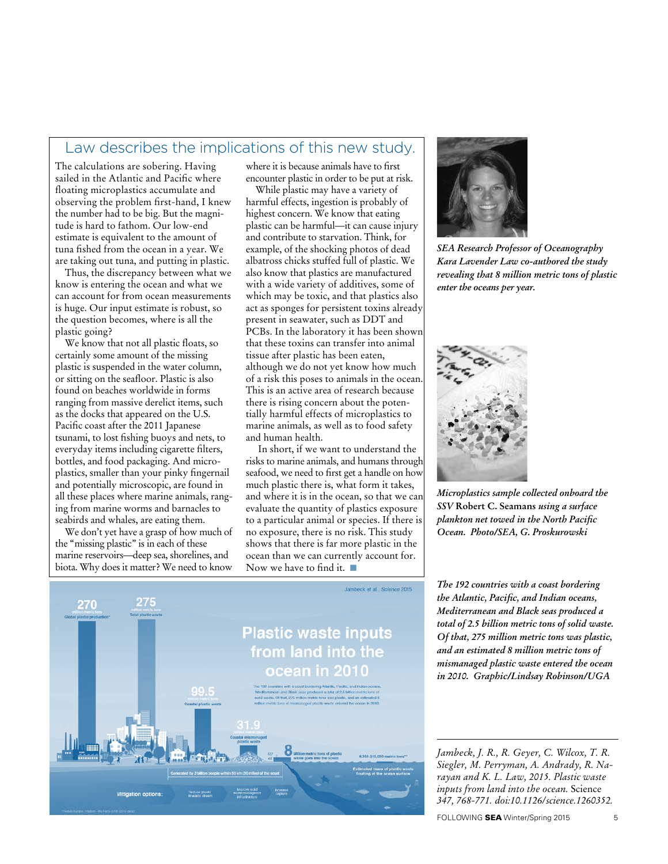# Law describes the implications of this new study.

The calculations are sobering. Having sailed in the Atlantic and Pacific where floating microplastics accumulate and observing the problem first-hand, I knew the number had to be big. But the magnitude is hard to fathom. Our low-end estimate is equivalent to the amount of tuna fished from the ocean in a year. We are taking out tuna, and putting in plastic.

Thus, the discrepancy between what we know is entering the ocean and what we can account for from ocean measurements is huge. Our input estimate is robust, so the question becomes, where is all the plastic going?

We know that not all plastic floats, so certainly some amount of the missing plastic is suspended in the water column, or sitting on the seafloor. Plastic is also found on beaches worldwide in forms ranging from massive derelict items, such as the docks that appeared on the U.S. Pacific coast after the 2011 Japanese tsunami, to lost fishing buoys and nets, to everyday items including cigarette filters, bottles, and food packaging. And microplastics, smaller than your pinky fingernail and potentially microscopic, are found in all these places where marine animals, ranging from marine worms and barnacles to seabirds and whales, are eating them.

We don't yet have a grasp of how much of the "missing plastic" is in each of these marine reservoirs—deep sea, shorelines, and biota. Why does it matter? We need to know

where it is because animals have to first encounter plastic in order to be put at risk.

While plastic may have a variety of harmful effects, ingestion is probably of highest concern. We know that eating plastic can be harmful—it can cause injury and contribute to starvation. Think, for example, of the shocking photos of dead albatross chicks stuffed full of plastic. We also know that plastics are manufactured with a wide variety of additives, some of which may be toxic, and that plastics also act as sponges for persistent toxins already present in seawater, such as DDT and PCBs. In the laboratory it has been shown that these toxins can transfer into animal tissue after plastic has been eaten, although we do not yet know how much of a risk this poses to animals in the ocean. This is an active area of research because there is rising concern about the potentially harmful effects of microplastics to marine animals, as well as to food safety and human health.

 In short, if we want to understand the risks to marine animals, and humans through seafood, we need to first get a handle on how much plastic there is, what form it takes, and where it is in the ocean, so that we can evaluate the quantity of plastics exposure to a particular animal or species. If there is no exposure, there is no risk. This study shows that there is far more plastic in the ocean than we can currently account for. Now we have to find it.  $\blacksquare$ 



*SEA Research Professor of Oceanography Kara Lavender Law co-authored the study revealing that 8 million metric tons of plastic enter the oceans per year.*



*Microplastics sample collected onboard the SSV* **Robert C. Seamans** *using a surface plankton net towed in the North Pacific Ocean. Photo/SEA, G. Proskurowski* 



*The 192 countries with a coast bordering the Atlantic, Pacific, and Indian oceans, Mediterranean and Black seas produced a total of 2.5 billion metric tons of solid waste. Of that, 275 million metric tons was plastic, and an estimated 8 million metric tons of mismanaged plastic waste entered the ocean in 2010. Graphic/Lindsay Robinson/UGA*

*Jambeck, J. R., R. Geyer, C. Wilcox, T. R. Siegler, M. Perryman, A. Andrady, R. Narayan and K. L. Law, 2015. Plastic waste inputs from land into the ocean.* Science *347, 768-771. doi:10.1126/science.1260352.*

FOLLOWING SEA Winter/Spring 2015 5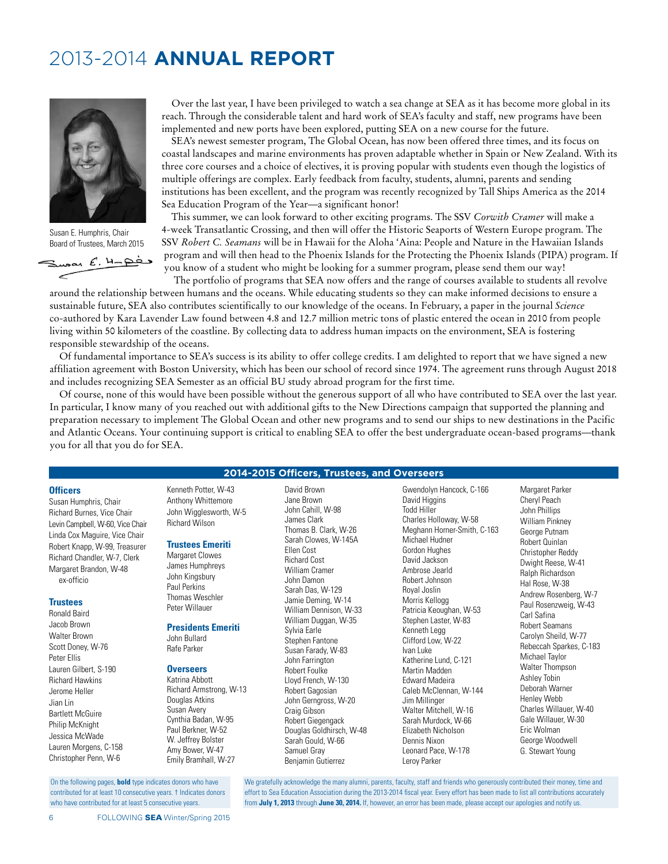# 2013-2014 **ANNUAL REPORT**



Susan E. Humphris, Chair Board of Trustees, March 2015

 $S<sub>up</sub>$ an E. 4-pès  $\epsilon$ 

Over the last year, I have been privileged to watch a sea change at SEA as it has become more global in its reach. Through the considerable talent and hard work of SEA's faculty and staff, new programs have been implemented and new ports have been explored, putting SEA on a new course for the future.

SEA's newest semester program, The Global Ocean, has now been offered three times, and its focus on coastal landscapes and marine environments has proven adaptable whether in Spain or New Zealand. With its three core courses and a choice of electives, it is proving popular with students even though the logistics of multiple offerings are complex. Early feedback from faculty, students, alumni, parents and sending institutions has been excellent, and the program was recently recognized by Tall Ships America as the 2014 Sea Education Program of the Year—a significant honor!

This summer, we can look forward to other exciting programs. The SSV *Corwith Cramer* will make a 4-week Transatlantic Crossing, and then will offer the Historic Seaports of Western Europe program. The SSV *Robert C. Seamans* will be in Hawaii for the Aloha 'Aina: People and Nature in the Hawaiian Islands program and will then head to the Phoenix Islands for the Protecting the Phoenix Islands (PIPA) program. If you know of a student who might be looking for a summer program, please send them our way!

The portfolio of programs that SEA now offers and the range of courses available to students all revolve around the relationship between humans and the oceans. While educating students so they can make informed decisions to ensure a

sustainable future, SEA also contributes scientifically to our knowledge of the oceans. In February, a paper in the journal *Science* co-authored by Kara Lavender Law found between 4.8 and 12.7 million metric tons of plastic entered the ocean in 2010 from people living within 50 kilometers of the coastline. By collecting data to address human impacts on the environment, SEA is fostering responsible stewardship of the oceans.

Of fundamental importance to SEA's success is its ability to offer college credits. I am delighted to report that we have signed a new affiliation agreement with Boston University, which has been our school of record since 1974. The agreement runs through August 2018 and includes recognizing SEA Semester as an official BU study abroad program for the first time.

Of course, none of this would have been possible without the generous support of all who have contributed to SEA over the last year. In particular, I know many of you reached out with additional gifts to the New Directions campaign that supported the planning and preparation necessary to implement The Global Ocean and other new programs and to send our ships to new destinations in the Pacific and Atlantic Oceans. Your continuing support is critical to enabling SEA to offer the best undergraduate ocean-based programs—thank you for all that you do for SEA.

# **2014-2015 Officers, Trustees, and Overseers**

David Brown Jane Brown John Cahill, W-98 James Clark

**Officers**  Susan Humphris, Chair Richard Burnes, Vice Chair Levin Campbell, W-60, Vice Chair Linda Cox Maguire, Vice Chair Robert Knapp, W-99, Treasurer Richard Chandler, W-7, Clerk Margaret Brandon, W-48

### **Trustees**

ex-officio

Ronald Baird Jacob Brown Walter Brown Scott Doney, W-76 Peter Ellis Lauren Gilbert, S-190 Richard Hawkins Jerome Heller Jian Lin Bartlett McGuire Philip McKnight Jessica McWade Lauren Morgens, C-158 Christopher Penn, W-6

On the following pages, **bold** type indicates donors who have contributed for at least 10 consecutive years. † Indicates donors who have contributed for at least 5 consecutive years.

Kenneth Potter, W-43 Anthony Whittemore John Wigglesworth, W-5 Richard Wilson

# **Trustees Emeriti**

Margaret Clowes James Humphreys John Kingsbury Paul Perkins Thomas Weschler Peter Willauer

**Presidents Emeriti** John Bullard Rafe Parker

#### **Overseers**

Katrina Abbott Richard Armstrong, W-13 Douglas Atkins Susan Avery Cynthia Badan, W-95 Paul Berkner, W-52 W. Jeffrey Bolster Amy Bower, W-47 Emily Bramhall, W-27

Thomas B. Clark, W-26 Sarah Clowes, W-145A Ellen Cost Richard Cost William Cramer John Damon Sarah Das, W-129 Jamie Deming, W-14 William Dennison, W-33 William Duggan, W-35 Sylvia Earle Stephen Fantone Susan Farady, W-83 John Farrington Robert Foulke Lloyd French, W-130 Robert Gagosian John Gerngross, W-20 Craig Gibson Robert Giegengack Douglas Goldhirsch, W-48 Sarah Gould, W-66 Samuel Gray Benjamin Gutierrez

Gwendolyn Hancock, C-166 David Higgins Todd Hiller Charles Holloway, W-58 Meghann Horner-Smith, C-163 Michael Hudner Gordon Hughes David Jackson Ambrose Jearld Robert Johnson Royal Joslin Morris Kellogg Patricia Keoughan, W-53 Stephen Laster, W-83 Kenneth Legg Clifford Low, W-22 Ivan Luke Katherine Lund, C-121 Martin Madden Edward Madeira Caleb McClennan, W-144 Jim Millinger Walter Mitchell, W-16 Sarah Murdock, W-66 Elizabeth Nicholson Dennis Nixon Leonard Pace, W-178 Leroy Parker

Margaret Parker Cheryl Peach John Phillips William Pinkney George Putnam Robert Quinlan Christopher Reddy Dwight Reese, W-41 Ralph Richardson Hal Rose, W-38 Andrew Rosenberg, W-7 Paul Rosenzweig, W-43 Carl Safina Robert Seamans Carolyn Sheild, W-77 Rebeccah Sparkes, C-183 Michael Taylor Walter Thompson Ashley Tobin Deborah Warner Henley Webb Charles Willauer, W-40 Gale Willauer, W-30 Eric Wolman George Woodwell G. Stewart Young

We gratefully acknowledge the many alumni, parents, faculty, staff and friends who generously contributed their money, time and effort to Sea Education Association during the 2013-2014 fiscal year. Every effort has been made to list all contributions accurately from **July 1, 2013** through **June 30, 2014.** If, however, an error has been made, please accept our apologies and notify us.

6 FOLLOWING SEA Winter/Spring 2015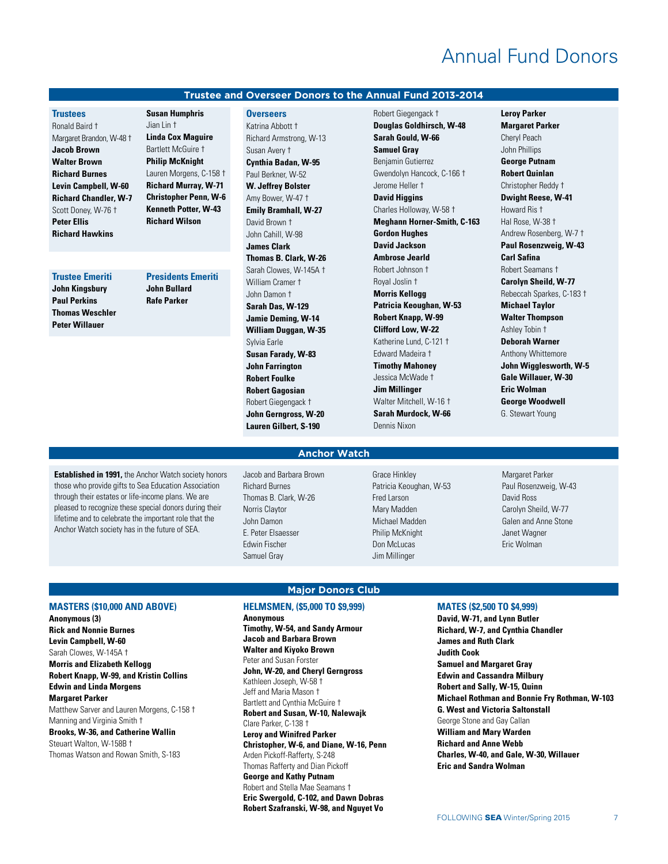# Annual Fund Donors

# **Trustee and Overseer Donors to the Annual Fund 2013-2014**

# **Trustees**

Ronald Baird † Margaret Brandon, W-48 † **Jacob Brown Walter Brown Richard Burnes Levin Campbell, W-60 Richard Chandler, W-7** Scott Doney, W-76 † **Peter Ellis Richard Hawkins**

#### **Trustee Emeriti**

**John Kingsbury Paul Perkins Thomas Weschler Peter Willauer**

**Susan Humphris** Jian Lin † **Linda Cox Maguire** Bartlett McGuire † **Philip McKnight** Lauren Morgens, C-158 † **Richard Murray, W-71 Christopher Penn, W-6 Kenneth Potter, W-43 Richard Wilson**

# **Presidents Emeriti**

**John Bullard Rafe Parker**

#### **Overseers**

Katrina Abbott † Richard Armstrong, W-13 Susan Avery † **Cynthia Badan, W-95** Paul Berkner, W-52 **W. Jeffrey Bolster** Amy Bower, W-47 † **Emily Bramhall, W-27** David Brown † John Cahill, W-98 **James Clark Thomas B. Clark, W-26** Sarah Clowes, W-145A † William Cramer † John Damon † **Sarah Das, W-129 Jamie Deming, W-14 William Duggan, W-35** Sylvia Earle **Susan Farady, W-83 John Farrington Robert Foulke Robert Gagosian** Robert Giegengack † **John Gerngross, W-20 Lauren Gilbert, S-190**

Robert Giegengack † **Douglas Goldhirsch, W-48 Sarah Gould, W-66 Samuel Gray** Benjamin Gutierrez Gwendolyn Hancock, C-166 † Jerome Heller † **David Higgins** Charles Holloway, W-58 † **Meghann Horner-Smith, C-163 Gordon Hughes David Jackson Ambrose Jearld** Robert Johnson † Royal Joslin † **Morris Kellogg Patricia Keoughan, W-53 Robert Knapp, W-99 Clifford Low, W-22** Katherine Lund, C-121 † Edward Madeira † **Timothy Mahoney** Jessica McWade † **Jim Millinger** Walter Mitchell, W-16 † **Sarah Murdock, W-66** Dennis Nixon

**Leroy Parker Margaret Parker** Cheryl Peach John Phillips **George Putnam Robert Quinlan** Christopher Reddy † **Dwight Reese, W-41** Howard Ris † Hal Rose, W-38 † Andrew Rosenberg, W-7 † **Paul Rosenzweig, W-43 Carl Safina** Robert Seamans † **Carolyn Sheild, W-77** Rebeccah Sparkes, C-183 † **Michael Taylor Walter Thompson** Ashley Tobin † **Deborah Warner** Anthony Whittemore **John Wigglesworth, W-5 Gale Willauer, W-30 Eric Wolman George Woodwell** G. Stewart Young

### **Established in 1991,** the Anchor Watch society honors those who provide gifts to Sea Education Association through their estates or life-income plans. We are pleased to recognize these special donors during their lifetime and to celebrate the important role that the Anchor Watch society has in the future of SEA.

Jacob and Barbara Brown Richard Burnes Thomas B. Clark, W-26 Norris Claytor John Damon E. Peter Elsaesser Edwin Fischer Samuel Gray

Grace Hinkley Patricia Keoughan, W-53 Fred Larson Mary Madden Michael Madden Philip McKnight Don McLucas Jim Millinger

Margaret Parker Paul Rosenzweig, W-43 David Ross Carolyn Sheild, W-77 Galen and Anne Stone Janet Wagner Eric Wolman

# **MASTERS (\$10,000 AND ABOVE)**

**Anonymous (3) Rick and Nonnie Burnes Levin Campbell, W-60** Sarah Clowes, W-145A † **Morris and Elizabeth Kellogg Robert Knapp, W-99, and Kristin Collins Edwin and Linda Morgens Margaret Parker**

Matthew Sarver and Lauren Morgens, C-158 † Manning and Virginia Smith †

# **Brooks, W-36, and Catherine Wallin**

Steuart Walton, W-158B † Thomas Watson and Rowan Smith, S-183 **HELMSMEN, (\$5,000 TO \$9,999) Anonymous Timothy, W-54, and Sandy Armour Jacob and Barbara Brown Walter and Kiyoko Brown** Peter and Susan Forster **John, W-20, and Cheryl Gerngross** Kathleen Joseph, W-58 † Jeff and Maria Mason † Bartlett and Cynthia McGuire † **Robert and Susan, W-10, Nalewajk** Clare Parker, C-138 † **Leroy and Winifred Parker Christopher, W-6, and Diane, W-16, Penn** Arden Pickoff-Rafferty, S-248 Thomas Rafferty and Dian Pickoff **George and Kathy Putnam** Robert and Stella Mae Seamans † **Eric Swergold, C-102, and Dawn Dobras Robert Szafranski, W-98, and Nguyet Vo**

**Major Donors Club**

**Anchor Watch**

# **MATES (\$2,500 TO \$4,999) David, W-71, and Lynn Butler Richard, W-7, and Cynthia Chandler James and Ruth Clark Judith Cook Samuel and Margaret Gray Edwin and Cassandra Milbury Robert and Sally, W-15, Quinn Michael Rothman and Bonnie Fry Rothman, W-103 G. West and Victoria Saltonstall** George Stone and Gay Callan **William and Mary Warden Richard and Anne Webb Charles, W-40, and Gale, W-30, Willauer Eric and Sandra Wolman**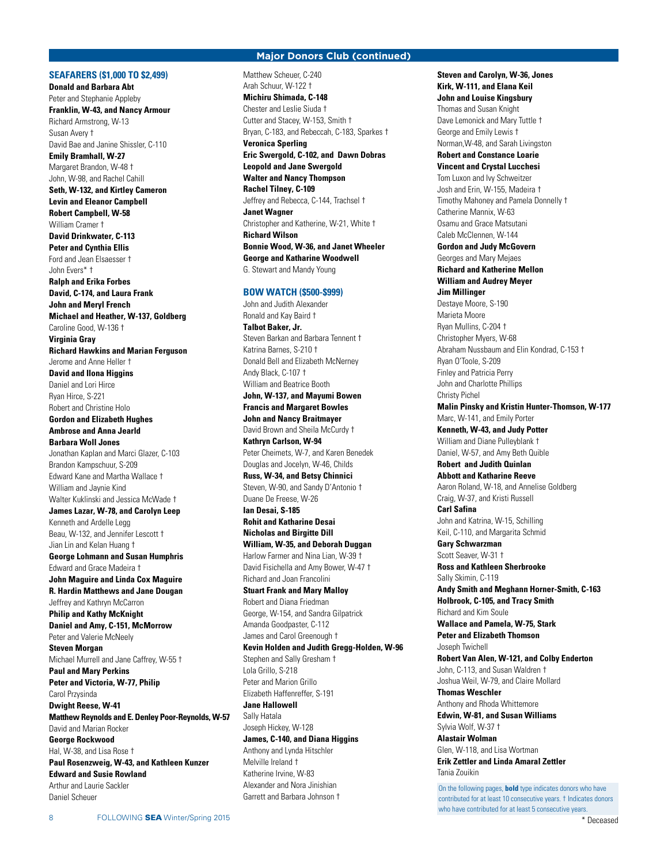# **SEAFARERS (\$1,000 TO \$2,499)**

# **Major Donors Club (continued)**

**Donald and Barbara Abt** Peter and Stephanie Appleby **Franklin, W-43, and Nancy Armour** Richard Armstrong, W-13 Susan Avery † David Bae and Janine Shissler, C-110 **Emily Bramhall, W-27** Margaret Brandon, W-48 † John, W-98, and Rachel Cahill **Seth, W-132, and Kirtley Cameron Levin and Eleanor Campbell Robert Campbell, W-58** William Cramer † **David Drinkwater, C-113 Peter and Cynthia Ellis** Ford and Jean Elsaesser † John Evers\* † **Ralph and Erika Forbes David, C-174, and Laura Frank John and Meryl French Michael and Heather, W-137, Goldberg** Caroline Good, W-136 † **Virginia Gray Richard Hawkins and Marian Ferguson** Jerome and Anne Heller † **David and Ilona Higgins** Daniel and Lori Hirce Ryan Hirce, S-221 Robert and Christine Holo **Gordon and Elizabeth Hughes Ambrose and Anna Jearld Barbara Woll Jones** Jonathan Kaplan and Marci Glazer, C-103 Brandon Kampschuur, S-209 Edward Kane and Martha Wallace † William and Jaynie Kind Walter Kuklinski and Jessica McWade † **James Lazar, W-78, and Carolyn Leep** Kenneth and Ardelle Legg Beau, W-132, and Jennifer Lescott † Jian Lin and Kelan Huang † **George Lohmann and Susan Humphris** Edward and Grace Madeira † **John Maguire and Linda Cox Maguire R. Hardin Matthews and Jane Dougan** Jeffrey and Kathryn McCarron **Philip and Kathy McKnight Daniel and Amy, C-151, McMorrow** Peter and Valerie McNeely **Steven Morgan** Michael Murrell and Jane Caffrey, W-55 † **Paul and Mary Perkins Peter and Victoria, W-77, Philip** Carol Przysinda **Dwight Reese, W-41 Matthew Reynolds and E. Denley Poor-Reynolds, W-57** David and Marian Rocker **George Rockwood** Hal, W-38, and Lisa Rose † **Paul Rosenzweig, W-43, and Kathleen Kunzer Edward and Susie Rowland** Arthur and Laurie Sackler Daniel Scheuer

Matthew Scheuer, C-240 Arah Schuur, W-122 † **Michiru Shimada, C-148** Chester and Leslie Siuda † Cutter and Stacey, W-153, Smith † Bryan, C-183, and Rebeccah, C-183, Sparkes † **Veronica Sperling Eric Swergold, C-102, and Dawn Dobras Leopold and Jane Swergold Walter and Nancy Thompson Rachel Tilney, C-109** Jeffrey and Rebecca, C-144, Trachsel † **Janet Wagner** Christopher and Katherine, W-21, White † **Richard Wilson Bonnie Wood, W-36, and Janet Wheeler George and Katharine Woodwell** G. Stewart and Mandy Young

### **BOW WATCH (\$500-\$999)**

John and Judith Alexander Ronald and Kay Baird † **Talbot Baker, Jr.** Steven Barkan and Barbara Tennent † Katrina Barnes, S-210 † Donald Bell and Elizabeth McNerney Andy Black, C-107 † William and Beatrice Booth **John, W-137, and Mayumi Bowen Francis and Margaret Bowles John and Nancy Braitmayer** David Brown and Sheila McCurdy † **Kathryn Carlson, W-94** Peter Cheimets, W-7, and Karen Benedek Douglas and Jocelyn, W-46, Childs **Russ, W-34, and Betsy Chinnici** Steven, W-90, and Sandy D'Antonio † Duane De Freese, W-26 **Ian Desai, S-185 Rohit and Katharine Desai Nicholas and Birgitte Dill William, W-35, and Deborah Duggan** Harlow Farmer and Nina Lian, W-39 † David Fisichella and Amy Bower, W-47 † Richard and Joan Francolini **Stuart Frank and Mary Malloy** Robert and Diana Friedman George, W-154, and Sandra Gilpatrick Amanda Goodpaster, C-112 James and Carol Greenough † **Kevin Holden and Judith Gregg-Holden, W-96** Stephen and Sally Gresham † Lola Grillo, S-218 Peter and Marion Grillo Elizabeth Haffenreffer, S-191 **Jane Hallowell** Sally Hatala Joseph Hickey, W-128 **James, C-140, and Diana Higgins** Anthony and Lynda Hitschler Melville Ireland † Katherine Irvine, W-83 Alexander and Nora Jinishian Garrett and Barbara Johnson †

**Steven and Carolyn, W-36, Jones Kirk, W-111, and Elana Keil John and Louise Kingsbury** Thomas and Susan Knight Dave Lemonick and Mary Tuttle † George and Emily Lewis † Norman,W-48, and Sarah Livingston **Robert and Constance Loarie Vincent and Crystal Lucchesi** Tom Luxon and Ivy Schweitzer Josh and Erin, W-155, Madeira † Timothy Mahoney and Pamela Donnelly † Catherine Mannix, W-63 Osamu and Grace Matsutani Caleb McClennen, W-144 **Gordon and Judy McGovern** Georges and Mary Mejaes **Richard and Katherine Mellon William and Audrey Meyer Jim Millinger** Destaye Moore, S-190 Marieta Moore Ryan Mullins, C-204 † Christopher Myers, W-68 Abraham Nussbaum and Elin Kondrad, C-153 † Ryan O'Toole, S-209 Finley and Patricia Perry John and Charlotte Phillips Christy Pichel **Malin Pinsky and Kristin Hunter-Thomson, W-177** Marc, W-141, and Emily Porter **Kenneth, W-43, and Judy Potter** William and Diane Pulleyblank † Daniel, W-57, and Amy Beth Quible **Robert and Judith Quinlan Abbott and Katharine Reeve** Aaron Roland, W-18, and Annelise Goldberg Craig, W-37, and Kristi Russell **Carl Safina** John and Katrina, W-15, Schilling Keil, C-110, and Margarita Schmid **Gary Schwarzman** Scott Seaver, W-31 <sup>+</sup> **Ross and Kathleen Sherbrooke** Sally Skimin, C-119 **Andy Smith and Meghann Horner-Smith, C-163 Holbrook, C-105, and Tracy Smith** Richard and Kim Soule **Wallace and Pamela, W-75, Stark Peter and Elizabeth Thomson** Joseph Twichell **Robert Van Alen, W-121, and Colby Enderton** John, C-113, and Susan Waldren † Joshua Weil, W-79, and Claire Mollard **Thomas Weschler** Anthony and Rhoda Whittemore **Edwin, W-81, and Susan Williams** Sylvia Wolf, W-37 † **Alastair Wolman** Glen, W-118, and Lisa Wortman **Erik Zettler and Linda Amaral Zettler** Tania Zouikin On the following pages, **bold** type indicates donors who have

contributed for at least 10 consecutive years. † Indicates donors who have contributed for at least 5 consecutive years.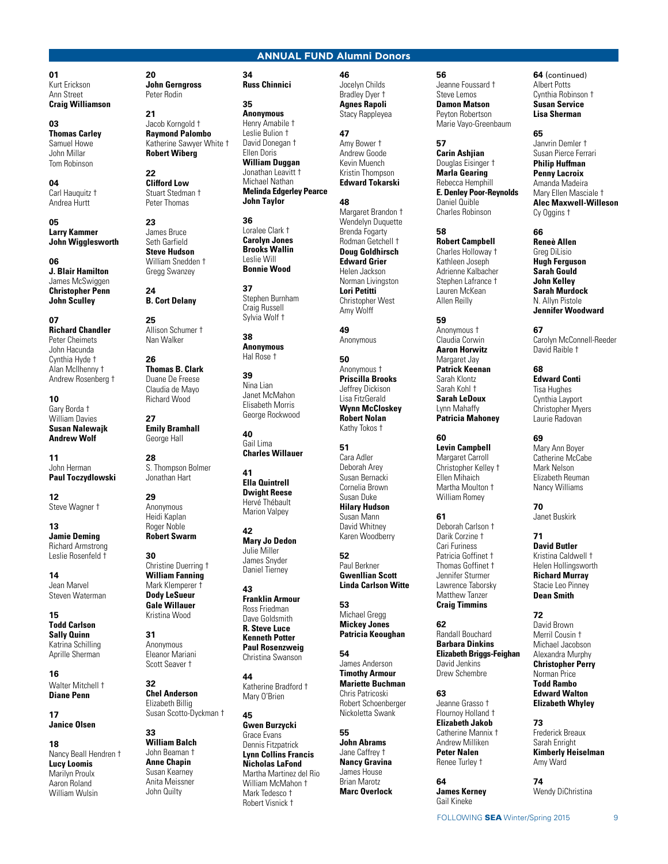# **ANNUAL FUND Alumni Donors**

**46**

#### **01** Kurt Erickson Ann Street **Craig Williamson**

**03 Thomas Carley** Samuel Howe John Millar Tom Robinson

**04** Carl Hauquitz † Andrea Hurtt

**05 Larry Kammer John Wigglesworth**

**06 J. Blair Hamilton** James McSwiggen **Christopher Penn John Sculley**

**07 Richard Chandler** Peter Cheimets John Hacunda Cynthia Hyde † Alan McIlhenny † Andrew Rosenberg †

**10** Gary Borda † William Davies **Susan Nalewajk Andrew Wolf**

**11** John Herman **Paul Toczydlowski**

**12** Steve Wagner †

**13 Jamie Deming** Richard Armstrong Leslie Rosenfeld †

**14** Jean Marvel Steven Waterman

**15 Todd Carlson Sally Quinn** Katrina Schilling Aprille Sherman

**16** Walter Mitchell † **Diane Penn**

**17 Janice Olsen**

**18** Nancy Beall Hendren † **Lucy Loomis** Marilyn Proulx Aaron Roland William Wulsin

**20 John Gerngross** Peter Rodin

**21** Jacob Korngold † **Raymond Palombo** Katherine Sawyer White † **Robert Wiberg**

**22 Clifford Low** Stuart Stedman † Peter Thomas

**23** James Bruce Seth Garfield **Steve Hudson** William Snedden † Gregg Swanzey

**24 B. Cort Delany**

**25** Allison Schumer † Nan Walker

**26 Thomas B. Clark** Duane De Freese Claudia de Mayo Richard Wood

**27 Emily Bramhall** George Hall

**28** S. Thompson Bolmer Jonathan Hart

**29** Anonymous Heidi Kaplan Roger Noble **Robert Swarm**

**30** Christine Duerring † **William Fanning** Mark Klemperer † **Dody LeSueur Gale Willauer** Kristina Wood

**31** Anonymous Eleanor Mariani Scott Seaver †

**32 Chel Anderson** Elizabeth Billig Susan Scotto-Dyckman †

**33 William Balch** John Beaman † **Anne Chapin** Susan Kearney Anita Meissner John Quilty

#### **34 Russ Chinnici**

**35**

**Anonymous** 

Henry Amabile † Leslie Bulion † David Donegan † Ellen Doris **William Duggan** Jonathan Leavitt † Michael Nathan **Melinda Edgerley Pearce John Taylor**

**36** Loralee Clark † **Carolyn Jones Brooks Wallin** Leslie Will **Bonnie Wood**

**37** Stephen Burnham Craig Russell Sylvia Wolf †

**38 Anonymous** Hal Rose †

**39** Nina Lian Janet McMahon Elisabeth Morris George Rockwood

**40** Gail Lima **Charles Willauer**

**41 Ella Quintrell Dwight Reese** Hervé Thébault Marion Valpey

**42 Mary Jo Dedon** Julie Miller James Snyder Daniel Tierney

**43 Franklin Armour** Ross Friedman Dave Goldsmith **R. Steve Luce Kenneth Potter Paul Rosenzweig** Christina Swanson

**44** Katherine Bradford † Mary O'Brien

**45**

**Gwen Burzycki** Grace Evans Dennis Fitzpatrick **Lynn Collins Francis Nicholas LaFond** Martha Martinez del Rio William McMahon † Mark Tedesco † Robert Visnick †

# Jocelyn Childs

Bradley Dyer † **Agnes Rapoli** Stacy Rappleyea

**47** Amy Bower † Andrew Goode Kevin Muench Kristin Thompson **Edward Tokarski**

**48** Margaret Brandon †

Wendelyn Duquette Brenda Fogarty Rodman Getchell † **Doug Goldhirsch Edward Grier** Helen Jackson Norman Livingston **Lori Petitti** Christopher West

**49** Anonymous

Amy Wolff

**50** Anonymous † **Priscilla Brooks** Jeffrey Dickison Lisa FitzGerald **Wynn McCloskey Robert Nolan** Kathy Tokos †

**51** Cara Adler Deborah Arey Susan Bernacki Cornelia Brown Susan Duke **Hilary Hudson** Susan Mann David Whitney

**52** Paul Berkner **Gwenllian Scott Linda Carlson Witte**

Karen Woodberry

**53** Michael Gregg **Mickey Jones Patricia Keoughan**

**54** James Anderson **Timothy Armour Mariette Buchman** Chris Patricoski Robert Schoenberger

**55 John Abrams** Jane Caffrey † **Nancy Gravina** James House Brian Marotz **Marc Overlock**

Nickoletta Swank

**56**

Jeanne Foussard † Steve Lemos **Damon Matson** Peyton Robertson Marie Vayo-Greenbaum

### **57**

**Carin Ashjian** Douglas Eisinger † **Marla Gearing** Rebecca Hemphill **E. Denley Poor-Reynolds** Daniel Quible Charles Robinson

**58 Robert Campbell** Charles Holloway † Kathleen Joseph Adrienne Kalbacher Stephen Lafrance † Lauren McKean Allen Reilly

**59** Anonymous † Claudia Corwin **Aaron Horwitz** Margaret Jay **Patrick Keenan** Sarah Klontz Sarah Kohl † **Sarah LeDoux** Lynn Mahaffy **Patricia Mahoney**

**60 Levin Campbell** Margaret Carroll Christopher Kelley † Ellen Mihaich Martha Moulton †

William Romey

**61** Deborah Carlson † Darik Corzine † Cari Furiness Patricia Goffinet † Thomas Goffinet † Jennifer Sturmer Lawrence Taborsky Matthew Tanzer **Craig Timmins**

**62** Randall Bouchard **Barbara Dinkins Elizabeth Briggs-Feighan** David Jenkins Drew Schembre

**63** Jeanne Grasso † Flournoy Holland † **Elizabeth Jakob** Catherine Mannix † Andrew Milliken **Peter Nalen** Renee Turley †

**64 James Kerney** Gail Kineke

**64** (continued) Albert Potts Cynthia Robinson † **Susan Service Lisa Sherman**

**65**

Janvrin Demler † Susan Pierce Ferrari **Philip Huffman Penny Lacroix** Amanda Madeira Mary Ellen Masciale † **Alec Maxwell-Willeson** Cy Oggins †

**66**

**Reneè Allen** Greg DiLisio **Hugh Ferguson Sarah Gould John Kelley Sarah Murdock** N. Allyn Pistole **Jennifer Woodward**

**67** Carolyn McConnell-Reeder David Raible †

**68 Edward Conti** Tisa Hughes Cynthia Layport Christopher Myers Laurie Radovan

**69**

Mary Ann Boyer Catherine McCabe Mark Nelson Elizabeth Reuman Nancy Williams

**70** Janet Buskirk

**71 David Butler** Kristina Caldwell † Helen Hollingsworth **Richard Murray** Stacie Leo Pinney **Dean Smith**

**72** David Brown Merril Cousin † Michael Jacobson Alexandra Murphy **Christopher Perry** Norman Price **Todd Rambo Edward Walton Elizabeth Whyley**

**73** Frederick Breaux Sarah Enright **Kimberly Heiselman** Amy Ward

**74** Wendy DiChristina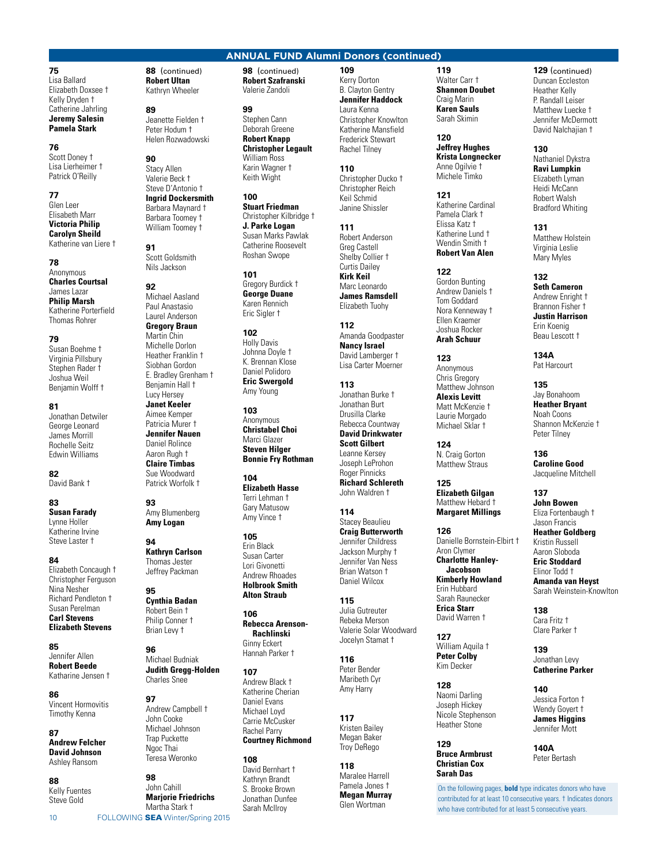**75** Lisa Ballard Elizabeth Doxsee † Kelly Dryden † Catherine Jahrling **Jeremy Salesin Pamela Stark**

# **76**

Scott Doney † Lisa Lierheimer † Patrick O'Reilly

# **77**

Glen Leer Elisabeth Marr **Victoria Philip Carolyn Sheild** Katherine van Liere †

**78** Anonymous **Charles Courtsal** James Lazar **Philip Marsh** Katherine Porterfield Thomas Rohrer

### **79**

Susan Boehme † Virginia Pillsbury Stephen Rader † Joshua Weil Benjamin Wolff †

**81**

Jonathan Detwiler George Leonard James Morrill Rochelle Seitz Edwin Williams

**82** David Bank †

**83 Susan Farady** Lynne Holler

Katherine Irvine Steve Laster †

**84** Elizabeth Concaugh † Christopher Ferguson Nina Nesher Richard Pendleton † Susan Perelman **Carl Stevens**

# **Elizabeth Stevens**

**85** Jennifer Allen **Robert Beede** Katharine Jensen †

**86** Vincent Hormovitis Timothy Kenna

#### **87 Andrew Felcher David Johnson** Ashley Ransom

**88** Kelly Fuentes Steve Gold

**88** (continued) **Robert Ultan** Kathryn Wheeler

**89** Jeanette Fielden † Peter Hodum † Helen Rozwadowski

**90**

### Stacy Allen Valerie Beck † Steve D'Antonio † **Ingrid Dockersmith** Barbara Maynard † Barbara Toomey † William Toomey †

**91** Scott Goldsmith Nils Jackson

**92** Michael Aasland Paul Anastasio Laurel Anderson **Gregory Braun** Martin Chin Michelle Dorlon Heather Franklin † Siobhan Gordon E. Bradley Grenham † Benjamin Hall † Lucy Hersey **Janet Keeler** Aimee Kemper Patricia Murer † **Jennifer Nauen** Daniel Rolince Aaron Rugh † **Claire Timbas** Sue Woodward Patrick Worfolk †

**93** Amy Blumenberg **Amy Logan**

**94 Kathryn Carlson** Thomas Jester Jeffrey Packman

#### **95 Cynthia Badan** Robert Bein † Philip Conner † Brian Levy †

**96** Michael Budniak **Judith Gregg-Holden** Charles Snee

#### **97** Andrew Campbell † John Cooke Michael Johnson Trap Puckette Nooc Thai Teresa Weronko

10 FOLLOWING **SEA** Winter/Spring 2015 **98** John Cahill **Marjorie Friedrichs** Martha Stark †

**98** (continued) **Robert Szafranski** Valerie Zandoli

# **99**

Stephen Cann Deborah Greene **Robert Knapp Christopher Legault** William Ross Karin Wagner † Keith Wight

**100 Stuart Friedman** Christopher Kilbridge † **J. Parke Logan** Susan Marks Pawlak Catherine Roosevelt Roshan Swope

# **101**

Gregory Burdick † **George Duane** Karen Rennich Eric Sigler †

**102** Holly Davis Johnna Doyle † K. Brennan Klose Daniel Polidoro **Eric Swergold** Amy Young

**103 Anonymous Christabel Choi** Marci Glazer **Steven Hilger Bonnie Fry Rothman**

**104 Elizabeth Hasse** Terri Lehman † Gary Matusow Amy Vince †

**105** Erin Black Susan Carter Lori Givonetti Andrew Rhoades **Holbrook Smith Alton Straub**

**106 Rebecca Arenson-Rachlinski** Ginny Eckert Hannah Parker †

# **107**

Andrew Black † Katherine Cherian Daniel Evans Michael Loyd Carrie McCusker Rachel Parry **Courtney Richmond**

# **108**

David Bernhart † Kathryn Brandt S. Brooke Brown Jonathan Dunfee Sarah McIlroy

#### **109** Kerry Dorton B. Clayton Gentry **Jennifer Haddock** Laura Kenna Christopher Knowlton Katherine Mansfield Frederick Stewart Rachel Tilney

**ANNUAL FUND Alumni Donors (continued)**

**110** Christopher Ducko † Christopher Reich Keil Schmid Janine Shissler

**111** Robert Anderson Greg Castell Shelby Collier + Curtis Dailey **Kirk Keil**

Marc Leonardo **James Ramsdell** Elizabeth Tuohy

**112** Amanda Goodpaster **Nancy Israel** David Lamberger + Lisa Carter Moerner

#### **113** Jonathan Burke † Jonathan Burt Drusilla Clarke Rebecca Countway **David Drinkwater Scott Gilbert** Leanne Kersey Joseph LeProhon Roger Pinnicks **Richard Schlereth**

John Waldren †

**114** Stacey Beaulieu **Craig Butterworth** Jennifer Childress Jackson Murphy † Jennifer Van Ness Brian Watson † Daniel Wilcox

#### **115** Julia Gutreuter Rebeka Merson Valerie Solar Woodward Jocelyn Stamat †

**116** Peter Bender Maribeth Cyr Amy Harry

**117** Kristen Bailey Megan Baker Troy DeRego

#### **118** Maralee Harrell Pamela Jones † **Megan Murray** Glen Wortman

**119** Walter Carr † **Shannon Doubet** Craig Marin **Karen Sauls** Sarah Skimin

# **120**

**Jeffrey Hughes Krista Longnecker** Anne Ogilvie † Michele Timko

**121** Katherine Cardinal Pamela Clark † Elissa Katz † Katherine Lund † Wendin Smith † **Robert Van Alen**

**122** Gordon Bunting

Andrew Daniels † Tom Goddard Nora Kenneway † Ellen Kraemer Joshua Rocker **Arah Schuur**

**123** Anonymous Chris Gregory Matthew Johnson **Alexis Levitt** Matt McKenzie † Laurie Morgado Michael Sklar †

**124** N. Craig Gorton Matthew Straus

**125 Elizabeth Gilgan** Matthew Hebard † **Margaret Millings**

#### **126** Danielle Bornstein-Elbirt † Aron Clymer **Charlotte Hanley-**

**Jacobson Kimberly Howland** Erin Hubbard

Sarah Raunecker **Erica Starr** David Warren †

**127** William Aquila † **Peter Colby** Kim Decker

**128** Naomi Darling Joseph Hickey Nicole Stephenson Heather Stone

#### **129 Bruce Armbrust Christian Cox Sarah Das**

**129** (continued) Duncan Eccleston Heather Kelly P. Randall Leiser Matthew Luecke † Jennifer McDermott David Nalchaiian <sup>†</sup>

> **130** Nathaniel Dykstra **Ravi Lumpkin** Elizabeth Lyman Heidi McCann Robert Walsh

**131** Matthew Holstein Virginia Leslie Mary Myles

Bradford Whiting

**132**

**Seth Cameron** Andrew Enright † Brannon Fisher † **Justin Harrison** Erin Koenig Beau Lescott †

**134A** Pat Harcourt

**135** Jay Bonahoom **Heather Bryant** Noah Coons Shannon McKenzie † Peter Tilney

**136 Caroline Good** Jacqueline Mitchell

**137 John Bowen** Eliza Fortenbaugh † Jason Francis **Heather Goldberg** Kristin Russell Aaron Sloboda **Eric Stoddard** Elinor Todd † **Amanda van Heyst** Sarah Weinstein-Knowlton

**138** Cara Fritz † Clare Parker †

**139** Jonathan Levy **Catherine Parker**

**140** Jessica Forton † Wendy Goyert † **James Higgins** Jennifer Mott

**140A** Peter Bertash

On the following pages, **bold** type indicates donors who have contributed for at least 10 consecutive years. † Indicates donors who have contributed for at least 5 consecutive years.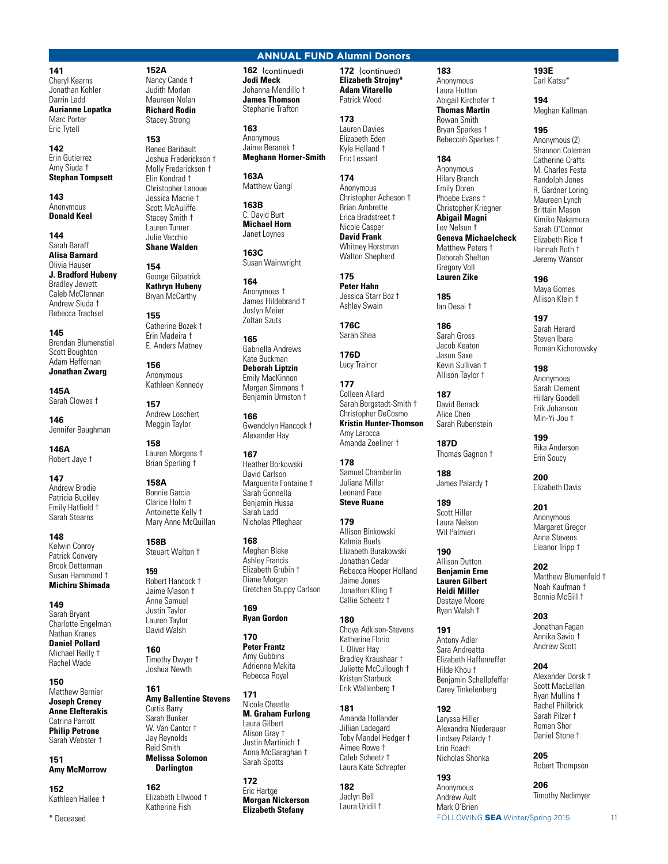**141**

Cheryl Kearns Jonathan Kohler Darrin Ladd **Aurianne Lopatka** Marc Porter Eric Tytell

### **142** Erin Gutierrez Amy Siuda † **Stephan Tompsett**

**143 Anonymous Donald Keel**

**144** Sarah Baraff **Alisa Barnard** Olivia Hauser **J. Bradford Hubeny** Bradley Jewett Caleb McClennan Andrew Siuda † Rebecca Trachsel

**145** Brendan Blumenstiel Scott Boughton Adam Heffernan **Jonathan Zwarg**

**145A** Sarah Clowes †

**146** Jennifer Baughman

**146A** Robert Jaye †

#### **147** Andrew Brodie Patricia Buckley Emily Hatfield † Sarah Stearns

**148** Kelwin Conroy Patrick Convery Brook Detterman Susan Hammond † **Michiru Shimada**

#### **149** Sarah Bryant Charlotte Engelman Nathan Kranes **Daniel Pollard** Michael Reilly † Rachel Wade

**150** Matthew Bernier **Joseph Creney Anne Elefterakis** Catrina Parrott **Philip Petrone** Sarah Webster †

# **151 Amy McMorrow**

**152** Kathleen Hallee †

\* Deceased

**152A** Nancy Cande † Judith Morlan Maureen Nolan **Richard Rodin** Stacey Strong

# **153**

Renee Baribault Joshua Frederickson † Molly Frederickson † Elin Kondrad † Christopher Lanoue Jessica Macrie † Scott McAuliffe Stacey Smith † Lauren Turner Julie Vecchio

**Shane Walden**

**154** George Gilpatrick **Kathryn Hubeny** Bryan McCarthy

**155** Catherine Bozek † Erin Madeira † E. Anders Matney

**156** Anonymous Kathleen Kennedy

**157** Andrew Loschert Meggin Taylor

**158** Lauren Morgens † Brian Sperling †

#### **158A** Bonnie Garcia Clarice Holm † Antoinette Kelly † Mary Anne McQuillan

**158B** Steuart Walton †

#### **159** Robert Hancock † Jaime Mason † Anne Samuel Justin Taylor Lauren Taylor David Walsh

**160** Timothy Dwyer † Joshua Newth

#### **161 Amy Ballentine Stevens** Curtis Barry Sarah Bunker W. Van Cantor † Jay Reynolds Reid Smith **Melissa Solomon**

**Darlington 162**

Elizabeth Ellwood † Katherine Fish

# **ANNUAL FUND Alumni Donors**

**162** (continued) **Jodi Meck** Johanna Mendillo † **James Thomson** Stephanie Trafton

**163** Anonymous Jaime Beranek † **Meghann Horner-Smith**

**163A** Matthew Gangl

**163B** C. David Burt **Michael Horn** Janet Loynes

**163C** Susan Wainwright

**164** Anonymous † James Hildebrand † Joslyn Meier Zoltan Szuts

**165** Gabriella Andrews Kate Buckman **Deborah Liptzin** Emily MacKinnon

Morgan Simmons + Benjamin Urmston † **166**

Gwendolyn Hancock † Alexander Hay

#### **167** Heather Borkowski David Carlson Marquerite Fontaine <sup>†</sup> Sarah Gonnella Benjamin Hussa Sarah Ladd Nicholas Pfleghaar

**168** Meghan Blake Ashley Francis Elizabeth Grubin † Diane Morgan Gretchen Stuppy Carlson

**169 Ryan Gordon**

**170 Peter Frantz** Amy Gubbins Adrienne Makita Rebecca Royal

### **171** Nicole Cheatle **M. Graham Furlong** Laura Gilbert Alison Gray † Justin Martinich † Anna McGaraghan † Sarah Spotts

**172** Eric Hartge **Morgan Nickerson Elizabeth Stefany**

**172** (continued) **Elizabeth Strojny\* Adam Vitarello** Patrick Wood

#### **173** Lauren Davies

Elizabeth Eden Kyle Helland † Eric Lessard

> **174** Anonymous Christopher Acheson † Brian Ambrette Erica Bradstreet † Nicole Casper **David Frank** Whitney Horstman Walton Shepherd

**175 Peter Hahn** Jessica Starr Boz † Ashley Swain

**176C** Sarah Shea

**176D** Lucy Trainor **177** Colleen Allard Sarah Borgstadt-Smith †

```
Christopher DeCosmo
Kristin Hunter-Thomson
Amy Larocca
Amanda Zoellner †
```
**178** Samuel Chamberlin Juliana Miller Leonard Pace **Steve Ruane**

#### **179** Allison Binkowski Kalmia Buels Elizabeth Burakowski Jonathan Cedar Rebecca Hooper Holland Jaime Jones Jonathan Kling † Callie Scheetz †

# **180**

Choya Adkison-Stevens Katherine Florio T. Oliver Hay Bradley Kraushaar † Juliette McCullough † Kristen Starbuck Erik Wallenberg †

# **181**

Amanda Hollander Jillian Ladegard Toby Mandel Hedger † Aimee Rowe † Caleb Scheetz † Laura Kate Schrepfer

# **182** Jaclyn Bell

Laura Uridil †

**183** Anonymous Laura Hutton Abigail Kirchofer † **Thomas Martin** Rowan Smith Bryan Sparkes † Rebeccah Sparkes †

# **184**

Anonymous Hilary Branch Emily Doren Phoebe Evans † Christopher Kriegner **Abigail Magni** Lev Nelson † **Geneva Michaelcheck** Matthew Peters † Deborah Shelton Gregory Voll **Lauren Zike**

**185** Ian Desai †

**186** Sarah Gross Jacob Keaton Jason Saxe Kevin Sullivan † Allison Taylor †

**187** David Benack Alice Chen Sarah Rubenstein

**187D** Thomas Gagnon †

**188** James Palardy †

**189** Scott Hiller Laura Nelson Wil Palmieri

**190** Allison Dutton **Benjamin Erne Lauren Gilbert Heidi Miller** Destaye Moore Ryan Walsh †

**191** Antony Adler Sara Andreatta Elizabeth Haffenreffer Hilde Khou † Benjamin Schellpfeffer Carey Tinkelenberg

# **192**

Laryssa Hiller Alexandra Niederauer Lindsey Palardy † Erin Roach Nicholas Shonka

**193** Anonymous Andrew Ault Mark O'Brien

FOLLOWING SEA Winter/Spring 2015 11

# **193E** Carl Katsu\*

**194** Meghan Kallman

# **195**

Anonymous (2) Shannon Coleman Catherine Crafts M. Charles Festa Randolph Jones R. Gardner Loring Maureen Lynch Brittain Mason Kimiko Nakamura Sarah O'Connor Elizabeth Rice † Hannah Roth † Jeremy Wansor

**196** Maya Gomes Allison Klein †

**197** Sarah Herard Steven Ibara Roman Kichorowsky

**198** Anonymous Sarah Clement Hillary Goodell Erik Johanson Min-Yi Jou †

**199** Rika Anderson Erin Soucy

**200** Elizabeth Davis

#### **201** Anonymous Margaret Gregor Anna Stevens Eleanor Tripp †

**202** Matthew Blumenfeld † Noah Kaufman † Bonnie McGill †

**203**

# Jonathan Fagan Annika Savio † Andrew Scott

**204** Alexander Dorsk † Scott MacLellan Ryan Mullins † Rachel Philbrick Sarah Pilzer † Roman Shor Daniel Stone †

**205** Robert Thompson

**206** Timothy Nedimyer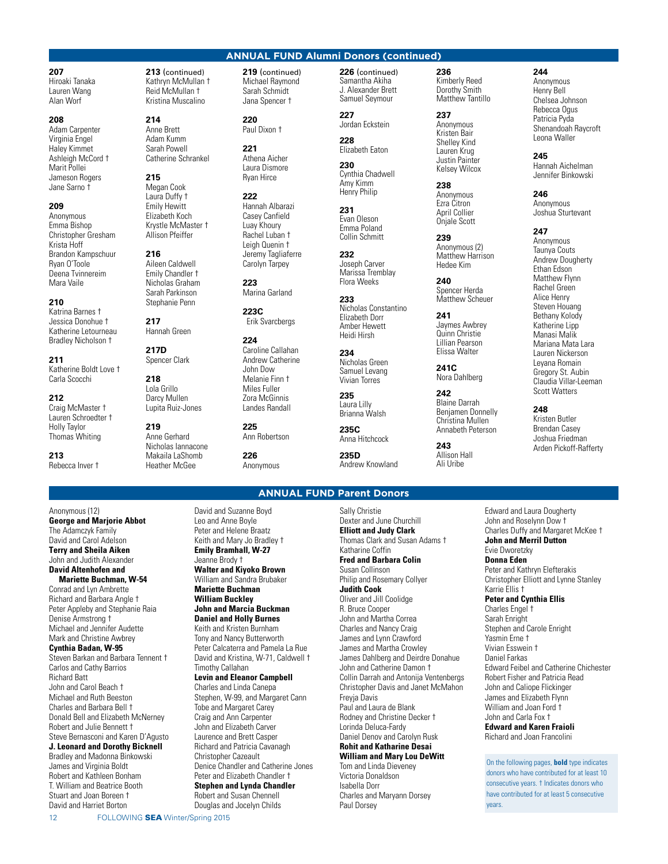**207** Hiroaki Tanaka

Lauren Wang Alan Worf

### **208**

Adam Carpenter Virginia Engel Haley Kimmet Ashleigh McCord † Marit Pollei Jameson Rogers Jane Sarno †

### **209**

Anonymous Emma Bishop Christopher Gresham Krista Hoff Brandon Kampschuur Ryan O'Toole Deena Tvinnereim Mara Vaile

### **210**

Katrina Barnes † Jessica Donohue † Katherine Letourneau Bradley Nicholson †

**211** Katherine Boldt Love † Carla Scocchi

### **212**

Craig McMaster † Lauren Schroedter † Holly Taylor Thomas Whiting

**213** Rebecca Inver †

Anonymous (12)

Denise Armstrong † Michael and Jennifer Audette Mark and Christine Awbrey **Cynthia Badan, W-95**

Carlos and Cathy Barrios Richard Batt John and Carol Beach † Michael and Ruth Beeston Charles and Barbara Bell † Donald Bell and Elizabeth McNerney Robert and Julie Bennett † Steve Bernasconi and Karen D'Agusto **J. Leonard and Dorothy Bicknell** Bradley and Madonna Binkowski James and Virginia Boldt Robert and Kathleen Bonham T. William and Beatrice Booth Stuart and Joan Boreen † David and Harriet Borton

Steven Barkan and Barbara Tennent †

**George and Marjorie Abbot** The Adamczyk Family David and Carol Adelson **Terry and Sheila Aiken** John and Judith Alexander **David Altenhofen and Mariette Buchman, W-54** Conrad and Lyn Ambrette Richard and Barbara Angle † Peter Appleby and Stephanie Raia

**213** (continued) Kathryn McMullan † Reid McMullan † Kristina Muscalino

# **214**

Anne Brett Adam Kumm Sarah Powell Catherine Schrankel

# **215**

Megan Cook Laura Duffy † Emily Hewitt Elizabeth Koch Krystle McMaster † Allison Pfeiffer

**216** Aileen Caldwell Emily Chandler † Nicholas Graham Sarah Parkinson Stephanie Penn

**217** Hannah Green

**217D** Spencer Clark

**218** Lola Grillo Darcy Mullen Lupita Ruiz-Jones

**219** Anne Gerhard Nicholas Iannacone Makaila LaShomb Heather McGee

**219** (continued) Michael Raymond Sarah Schmidt Jana Spencer †

**220** Paul Dixon †

**221** Athena Aicher Laura Dismore Ryan Hirce

**222** Hannah Albarazi Casey Canfield Luay Khoury Rachel Luban † Leigh Quenin † Jeremy Tagliaferre Carolyn Tarpey

**223** Marina Garland

**223C** Erik Svarcbergs

#### **224** Caroline Callahan Andrew Catherine John Dow Melanie Finn † Miles Fuller Zora McGinnis Landes Randall

**225** Ann Robertson

**226** Anonymous

#### **226** (continued) Samantha Akiha J. Alexander Brett Samuel Seymour

**227** Jordan Eckstein **228**

**ANNUAL FUND Alumni Donors (continued)**

Elizabeth Eaton **230**

Cynthia Chadwell Amy Kimm Henry Philip

**231** Evan Oleson Emma Poland Collin Schmitt

**232** Joseph Carver Marissa Tremblay Flora Weeks

**233** Nicholas Constantino Elizabeth Dorr Amber Hewett Heidi Hirsh

**234** Nicholas Green Samuel Levang Vivian Torres

**235** Laura Lilly Brianna Walsh

**235C** Anna Hitchcock

**235D** Andrew Knowland

# **ANNUAL FUND Parent Donors**

David and Suzanne Boyd Leo and Anne Boyle Peter and Helene Braatz Keith and Mary Jo Bradley † **Emily Bramhall, W-27** Jeanne Brody † **Walter and Kiyoko Brown** William and Sandra Brubaker **Mariette Buchman William Buckley John and Marcia Buckman Daniel and Holly Burnes** Keith and Kristen Burnham Tony and Nancy Butterworth Peter Calcaterra and Pamela La Rue David and Kristina, W-71, Caldwell † Timothy Callahan **Levin and Eleanor Campbell** Charles and Linda Canepa Stephen, W-99, and Margaret Cann

Tobe and Margaret Carey Craig and Ann Carpenter John and Elizabeth Carver Laurence and Brett Casper Richard and Patricia Cavanagh Christopher Cazeault Denice Chandler and Catherine Jones Peter and Elizabeth Chandler †

**Stephen and Lynda Chandler**

Robert and Susan Chennell Douglas and Jocelyn Childs

Sally Christie Dexter and June Churchill **Elliott and Judy Clark** Thomas Clark and Susan Adams † Katharine Coffin **Fred and Barbara Colin** Susan Collinson Philip and Rosemary Collyer **Judith Cook** Oliver and Jill Coolidge R. Bruce Cooper John and Martha Correa Charles and Nancy Craig James and Lynn Crawford James and Martha Crowley James Dahlberg and Deirdre Donahue John and Catherine Damon † Collin Darrah and Antonija Ventenbergs Christopher Davis and Janet McMahon Freyja Davis Paul and Laura de Blank Rodney and Christine Decker †

#### Daniel Denov and Carolyn Rusk **Rohit and Katharine Desai William and Mary Lou DeWitt**

# Tom and Linda Dieveney

Victoria Donaldson Isabella Dorr Charles and Maryann Dorsey Paul Dorsey

Lorinda Deluca-Fardy

**236** Kimberly Reed Dorothy Smith Matthew Tantillo

**237** Anonymous Kristen Bair Shelley Kind Lauren Krug Justin Painter Kelsey Wilcox

**238** Anonymous Ezra Citron April Collier Onjale Scott

**239** Anonymous (2) Matthew Harrison Hedee Kim

**240** Spencer Herda Matthew Scheuer

**241** Jaymes Awbrey Quinn Christie Lillian Pearson Elissa Walter

**241C** Nora Dahlberg

**242** Blaine Darrah Benjamen Donnelly Christina Mullen Annabeth Peterson

**243** Allison Hall Ali Uribe

**244**

Anonymous Henry Bell Chelsea Johnson Rebecca Ogus Patricia Pyda Shenandoah Raycroft Leona Waller

**245** Hannah Aichelman Jennifer Binkowski

**246** Anonymous Joshua Sturtevant

**247**

Anonymous Taunya Couts Andrew Dougherty Ethan Edson Matthew Flynn Rachel Green Alice Henry Steven Houang Bethany Kolody Katherine Lipp Manasi Malik Mariana Mata Lara Lauren Nickerson Leyana Romain Gregory St. Aubin Claudia Villar-Leeman Scott Watters

**248** Kristen Butler Brendan Casey Joshua Friedman

Arden Pickoff-Rafferty

Edward and Laura Dougherty John and Roselynn Dow † Charles Duffy and Margaret McKee † **John and Merril Dutton** Evie Dworetzky **Donna Eden** Peter and Kathryn Elefterakis Christopher Elliott and Lynne Stanley Karrie Ellis † **Peter and Cynthia Ellis** Charles Engel † Sarah Enright Stephen and Carole Enright Yasmin Erne † Vivian Esswein † Daniel Farkas

Edward Feibel and Catherine Chichester Robert Fisher and Patricia Read John and Caliope Flickinger James and Elizabeth Flynn William and Joan Ford † John and Carla Fox †

**Edward and Karen Fraioli** Richard and Joan Francolini

On the following pages, **bold** type indicates donors who have contributed for at least 10 consecutive years. † Indicates donors who have contributed for at least 5 consecutive years.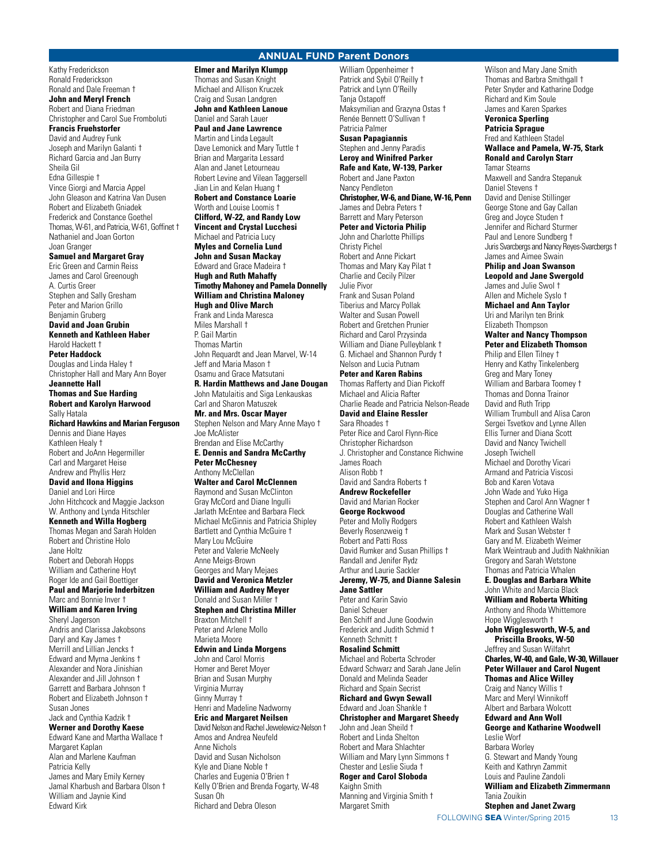## **ANNUAL FUND Parent Donors**

Kathy Frederickson Ronald Frederickson Ronald and Dale Freeman † **John and Meryl French** Robert and Diana Friedman Christopher and Carol Sue Fromboluti **Francis Fruehstorfer** David and Audrey Funk Joseph and Marilyn Galanti † Richard Garcia and Jan Burry Sheila Gil Edna Gillespie † Vince Giorgi and Marcia Appel John Gleason and Katrina Van Dusen Robert and Elizabeth Gniadek Frederick and Constance Goethel Thomas, W-61, and Patricia, W-61, Goffinet † Nathaniel and Joan Gorton Joan Granger **Samuel and Margaret Gray** Eric Green and Carmin Reiss James and Carol Greenough A. Curtis Greer Stephen and Sally Gresham Peter and Marion Grillo Benjamin Gruberg **David and Joan Grubin Kenneth and Kathleen Haber** Harold Hackett † **Peter Haddock** Douglas and Linda Haley † Christopher Hall and Mary Ann Boyer **Jeannette Hall Thomas and Sue Harding Robert and Karolyn Harwood** Sally Hatala **Richard Hawkins and Marian Ferguson** Dennis and Diane Hayes Kathleen Healy † Robert and JoAnn Hegermiller Carl and Margaret Heise Andrew and Phyllis Herz **David and Ilona Higgins** Daniel and Lori Hirce John Hitchcock and Maggie Jackson W. Anthony and Lynda Hitschler **Kenneth and Willa Hogberg** Thomas Megan and Sarah Holden Robert and Christine Holo Jane Holtz Robert and Deborah Hopps William and Catherine Hoyt Roger Ide and Gail Boettiger **Paul and Marjorie Inderbitzen** Marc and Bonnie Inver † **William and Karen Irving** Sheryl Jagerson Andris and Clarissa Jakobsons Daryl and Kay James † Merrill and Lillian Jencks † Edward and Myrna Jenkins † Alexander and Nora Jinishian Alexander and Jill Johnson † Garrett and Barbara Johnson † Robert and Elizabeth Johnson † Susan Jones Jack and Cynthia Kadzik † **Werner and Dorothy Kaese** Edward Kane and Martha Wallace † Margaret Kaplan

Alan and Marlene Kaufman Patricia Kelly James and Mary Emily Kerney Jamal Kharbush and Barbara Olson † William and Jaynie Kind Edward Kirk

**Elmer and Marilyn Klumpp** Thomas and Susan Knight Michael and Allison Kruczek Craig and Susan Landgren **John and Kathleen Lanoue** Daniel and Sarah Lauer **Paul and Jane Lawrence** Martin and Linda Legault Dave Lemonick and Mary Tuttle † Brian and Margarita Lessard Alan and Janet Letourneau Robert Levine and Vilean Taggersell Jian Lin and Kelan Huang † **Robert and Constance Loarie** Worth and Louise Loomis † **Clifford, W-22, and Randy Low Vincent and Crystal Lucchesi** Michael and Patricia Lucy **Myles and Cornelia Lund John and Susan Mackay** Edward and Grace Madeira † **Hugh and Ruth Mahaffy Timothy Mahoney and Pamela Donnelly William and Christina Maloney Hugh and Olive March** Frank and Linda Maresca Miles Marshall † P. Gail Martin Thomas Martin John Requardt and Jean Marvel, W-14 Jeff and Maria Mason † Osamu and Grace Matsutani **R. Hardin Matthews and Jane Dougan** John Matulaitis and Siga Lenkauskas Carl and Sharon Matuszek **Mr. and Mrs. Oscar Mayer** Stephen Nelson and Mary Anne Mayo † Joe McAlister Brendan and Elise McCarthy **E. Dennis and Sandra McCarthy Peter McChesney** Anthony McClellan **Walter and Carol McClennen** Raymond and Susan McClinton Gray McCord and Diane Ingulli Jarlath McEntee and Barbara Fleck Michael McGinnis and Patricia Shipley Bartlett and Cynthia McGuire † Mary Lou McGuire Peter and Valerie McNeely Anne Meigs-Brown Georges and Mary Mejaes **David and Veronica Metzler William and Audrey Meyer** Donald and Susan Miller † **Stephen and Christina Miller** Braxton Mitchell † Peter and Arlene Mollo Marieta Moore **Edwin and Linda Morgens** John and Carol Morris Homer and Beret Moyer Brian and Susan Murphy Virginia Murray Ginny Murray † Henri and Madeline Nadworny **Eric and Margaret Neilsen** David Nelson and Rachel Jewelewicz-Nelson † Amos and Andrea Neufeld Anne Nichols David and Susan Nicholson Kyle and Diane Noble † Charles and Eugenia O'Brien † Kelly O'Brien and Brenda Fogarty, W-48 Susan Oh Richard and Debra Oleson

William Oppenheimer † Patrick and Sybil O'Reilly † Patrick and Lynn O'Reilly Tania Ostapoff Maksymilian and Grazyna Ostas † Renée Bennett O'Sullivan † Patricia Palmer **Susan Papagiannis** Stephen and Jenny Paradis **Leroy and Winifred Parker Rafe and Kate, W-139, Parker** Robert and Jane Paxton Nancy Pendleton **Christopher, W-6, and Diane, W-16, Penn** James and Debra Peters † Barrett and Mary Peterson **Peter and Victoria Philip** John and Charlotte Phillips Christy Pichel Robert and Anne Pickart Thomas and Mary Kay Pilat † Charlie and Cecily Pilzer Julie Pivor Frank and Susan Poland Tiberius and Marcy Pollak Walter and Susan Powell Robert and Gretchen Prunier Richard and Carol Przysinda William and Diane Pulleyblank † G. Michael and Shannon Purdy † Nelson and Lucia Putnam **Peter and Karen Rabins** Thomas Rafferty and Dian Pickoff Michael and Alicia Rafter Charlie Reade and Patricia Nelson-Reade **David and Elaine Ressler** Sara Rhoades † Peter Rice and Carol Flynn-Rice Christopher Richardson J. Christopher and Constance Richwine James Roach Alison Robb † David and Sandra Roberts † **Andrew Rockefeller** David and Marian Rocker **George Rockwood** Peter and Molly Rodgers Beverly Rosenzweig † Robert and Patti Ross David Rumker and Susan Phillips † Randall and Jenifer Rydz Arthur and Laurie Sackler **Jeremy, W-75, and Dianne Salesin Jane Sattler** Peter and Karin Savio Daniel Scheuer Ben Schiff and June Goodwin Frederick and Judith Schmid † Kenneth Schmitt † **Rosalind Schmitt** Michael and Roberta Schroder Edward Schwarz and Sarah Jane Jelin Donald and Melinda Seader Richard and Spain Secrist **Richard and Gwyn Sewall** Edward and Joan Shankle † **Christopher and Margaret Sheedy** John and Jean Sheild † Robert and Linda Shelton Robert and Mara Shlachter William and Mary Lynn Simmons † Chester and Leslie Siuda † **Roger and Carol Sloboda** Kaighn Smith Manning and Virginia Smith † Margaret Smith

Wilson and Mary Jane Smith Thomas and Barbra Smithgall † Peter Snyder and Katharine Dodge Richard and Kim Soule James and Karen Sparkes

# **Veronica Sperling**

**Patricia Sprague** Fred and Kathleen Stadel **Wallace and Pamela, W-75, Stark Ronald and Carolyn Starr** Tamar Stearns Maxwell and Sandra Stepanuk Daniel Stevens † David and Denise Stillinger George Stone and Gay Callan Greg and Joyce Studen † Jennifer and Richard Sturmer Paul and Lenore Sundberg †

Juris Svarcbergs and Nancy Reyes-Svarcbergs †

#### James and Aimee Swain **Philip and Joan Swanson**

**Leopold and Jane Swergold** James and Julie Swol †

Allen and Michele Syslo † **Michael and Ann Taylor** Uri and Marilyn ten Brink

#### Elizabeth Thompson **Walter and Nancy Thompson Peter and Elizabeth Thomson**

Philip and Ellen Tilney † Henry and Kathy Tinkelenberg Greg and Mary Toney William and Barbara Toomey † Thomas and Donna Trainor David and Ruth Tripp William Trumbull and Alisa Caron Sergei Tsvetkov and Lynne Allen Ellis Turner and Diana Scott David and Nancy Twichell Joseph Twichell Michael and Dorothy Vicari Armand and Patricia Viscosi Bob and Karen Votava John Wade and Yuko Higa Stephen and Carol Ann Wagner + Douglas and Catherine Wall Robert and Kathleen Walsh Mark and Susan Webster † Gary and M. Elizabeth Weimer Mark Weintraub and Judith Nakhnikian Gregory and Sarah Wetstone Thomas and Patricia Whalen **E. Douglas and Barbara White**

John White and Marcia Black **William and Roberta Whiting**

Anthony and Rhoda Whittemore Hope Wigglesworth † **John Wigglesworth, W-5, and** 

**Priscilla Brooks, W-50** Jeffrey and Susan Wilfahrt **Charles, W-40, and Gale, W-30, Willauer Peter Willauer and Carol Nugent Thomas and Alice Willey** Craig and Nancy Willis †

Marc and Meryl Winnikoff Albert and Barbara Wolcott **Edward and Ann Woll**

**George and Katharine Woodwell** Leslie Worf Barbara Worley G. Stewart and Mandy Young Keith and Kathryn Zammit Louis and Pauline Zandoli **William and Elizabeth Zimmermann** Tania Zouikin **Stephen and Janet Zwarg**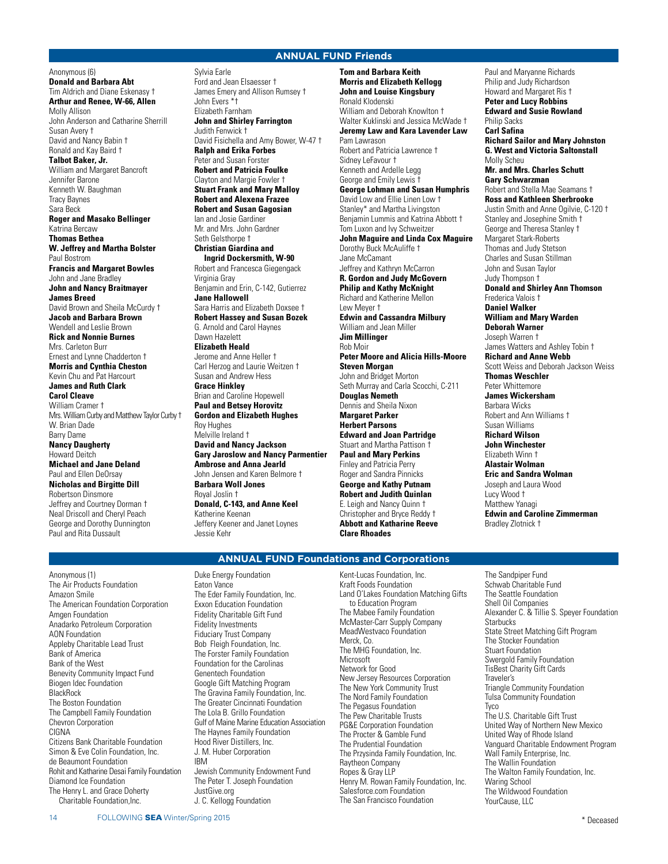# **ANNUAL FUND Friends**

Anonymous (6) **Donald and Barbara Abt** Tim Aldrich and Diane Eskenasy † **Arthur and Renee, W-66, Allen** Molly Allison John Anderson and Catharine Sherrill Susan Avery † David and Nancy Babin † Ronald and Kay Baird † **Talbot Baker, Jr.** William and Margaret Bancroft Jennifer Barone Kenneth W. Baughman Tracy Baynes Sara Beck **Roger and Masako Bellinger** Katrina Bercaw **Thomas Bethea W. Jeffrey and Martha Bolster** Paul Bostrom **Francis and Margaret Bowles** John and Jane Bradley **John and Nancy Braitmayer James Breed** David Brown and Sheila McCurdy † **Jacob and Barbara Brown** Wendell and Leslie Brown **Rick and Nonnie Burnes** Mrs. Carleton Burr Ernest and Lynne Chadderton † **Morris and Cynthia Cheston** Kevin Chu and Pat Harcourt **James and Ruth Clark Carol Cleave** William Cramer † Mrs. William Curby and Matthew Taylor Curby † W. Brian Dade Barry Dame **Nancy Daugherty** Howard Deitch **Michael and Jane Deland** Paul and Ellen DeOrsay **Nicholas and Birgitte Dill** Robertson Dinsmore Jeffrey and Courtney Dorman † Neal Driscoll and Cheryl Peach George and Dorothy Dunnington

Sylvia Earle Ford and Jean Elsaesser † James Emery and Allison Rumsey † John Evers \*† Elizabeth Farnham **John and Shirley Farrington** Judith Fenwick † David Fisichella and Amy Bower, W-47 † **Ralph and Erika Forbes** Peter and Susan Forster **Robert and Patricia Foulke** Clayton and Margie Fowler † **Stuart Frank and Mary Malloy Robert and Alexena Frazee Robert and Susan Gagosian** Ian and Josie Gardiner Mr. and Mrs. John Gardner Seth Gelsthorpe † **Christian Giardina and Ingrid Dockersmith, W-90** Robert and Francesca Giegengack Virginia Gray Benjamin and Erin, C-142, Gutierrez **Jane Hallowell** Sara Harris and Elizabeth Doxsee † **Robert Hassey and Susan Bozek** G. Arnold and Carol Haynes Dawn Hazelett **Elizabeth Heald** Jerome and Anne Heller † Carl Herzog and Laurie Weitzen † Susan and Andrew Hess **Grace Hinkley** Brian and Caroline Hopewell **Paul and Betsey Horovitz Gordon and Elizabeth Hughes** Roy Hughes Melville Ireland † **David and Nancy Jackson Gary Jaroslow and Nancy Parmentier Ambrose and Anna Jearld** John Jensen and Karen Belmore † **Barbara Woll Jones** Royal Joslin † **Donald, C-143, and Anne Keel** Katherine Keenan Jeffery Keener and Janet Loynes Jessie Kehr

**Tom and Barbara Keith Morris and Elizabeth Kellogg John and Louise Kingsbury** Ronald Klodenski William and Deborah Knowlton † Walter Kuklinski and Jessica McWade † **Jeremy Law and Kara Lavender Law** Pam Lawrason Robert and Patricia Lawrence † Sidney LeFavour † Kenneth and Ardelle Legg George and Emily Lewis † **George Lohman and Susan Humphris** David Low and Ellie Linen Low † Stanley\* and Martha Livingston Benjamin Lummis and Katrina Abbott † Tom Luxon and Ivy Schweitzer **John Maguire and Linda Cox Maguire** Dorothy Buck McAuliffe † Jane McCamant Jeffrey and Kathryn McCarron **R. Gordon and Judy McGovern Philip and Kathy McKnight** Richard and Katherine Mellon Lew Meyer † **Edwin and Cassandra Milbury** William and Jean Miller **Jim Millinger** Rob Moir **Peter Moore and Alicia Hills-Moore Steven Morgan** John and Bridget Morton Seth Murray and Carla Scocchi, C-211 **Douglas Nemeth** Dennis and Sheila Nixon **Margaret Parker Herbert Parsons Edward and Joan Partridge** Stuart and Martha Pattison † **Paul and Mary Perkins** Finley and Patricia Perry Roger and Sandra Pinnicks **George and Kathy Putnam Robert and Judith Quinlan** E. Leigh and Nancy Quinn † Christopher and Bryce Reddy † **Abbott and Katharine Reeve Clare Rhoades**

Paul and Maryanne Richards Philip and Judy Richardson Howard and Margaret Ris † **Peter and Lucy Robbins Edward and Susie Rowland** Philip Sacks **Carl Safina Richard Sailor and Mary Johnston G. West and Victoria Saltonstall** Molly Scheu **Mr. and Mrs. Charles Schutt Gary Schwarzman** Robert and Stella Mae Seamans † **Ross and Kathleen Sherbrooke** Justin Smith and Anne Ogilvie, C-120 † Stanley and Josephine Smith † George and Theresa Stanley † Margaret Stark-Roberts Thomas and Judy Stetson Charles and Susan Stillman John and Susan Taylor Judy Thompson † **Donald and Shirley Ann Thomson** Frederica Valois † **Daniel Walker William and Mary Warden Deborah Warner** Joseph Warren † James Watters and Ashley Tobin † **Richard and Anne Webb** Scott Weiss and Deborah Jackson Weiss **Thomas Weschler** Peter Whittemore **James Wickersham** Barbara Wicks Robert and Ann Williams † Susan Williams **Richard Wilson John Winchester** Elizabeth Winn † **Alastair Wolman Eric and Sandra Wolman** Joseph and Laura Wood Lucy Wood † Matthew Yanagi

**Edwin and Caroline Zimmerman** Bradley Zlotnick †

Anonymous (1) The Air Products Foundation Amazon Smile The American Foundation Corporation Amgen Foundation Anadarko Petroleum Corporation AON Foundation Appleby Charitable Lead Trust Bank of America Bank of the West Benevity Community Impact Fund Biogen Idec Foundation **BlackRock** The Boston Foundation The Campbell Family Foundation Chevron Corporation **CIGNA** Citizens Bank Charitable Foundation Simon & Eve Colin Foundation, Inc. de Beaumont Foundation Rohit and Katharine Desai Family Foundation Diamond Ice Foundation The Henry L. and Grace Doherty Charitable Foundation,Inc.

Paul and Rita Dussault

Duke Energy Foundation Eaton Vance The Eder Family Foundation, Inc. Exxon Education Foundation Fidelity Charitable Gift Fund Fidelity Investments Fiduciary Trust Company Bob Fleigh Foundation, Inc. The Forster Family Foundation Foundation for the Carolinas Genentech Foundation Google Gift Matching Program The Gravina Family Foundation, Inc. The Greater Cincinnati Foundation The Lola B. Grillo Foundation Gulf of Maine Marine Education Association The Haynes Family Foundation Hood River Distillers, Inc. J. M. Huber Corporation IBM Jewish Community Endowment Fund The Peter T. Joseph Foundation JustGive.org J. C. Kellogg Foundation

Kent-Lucas Foundation, Inc. Kraft Foods Foundation Land O'Lakes Foundation Matching Gifts to Education Program The Mabee Family Foundation McMaster-Carr Supply Company MeadWestvaco Foundation Merck, Co. The MHG Foundation, Inc. Microsoft Network for Good New Jersey Resources Corporation The New York Community Trust The Nord Family Foundation The Pegasus Foundation The Pew Charitable Trusts PG&E Corporation Foundation The Procter & Gamble Fund The Prudential Foundation The Przysinda Family Foundation, Inc. Raytheon Company Ropes & Gray LLP Henry M. Rowan Family Foundation, Inc. Salesforce.com Foundation The San Francisco Foundation

**ANNUAL FUND Foundations and Corporations**

The Sandpiper Fund Schwab Charitable Fund The Seattle Foundation Shell Oil Companies Alexander C. & Tillie S. Speyer Foundation **Starbucks** State Street Matching Gift Program The Stocker Foundation Stuart Foundation Swergold Family Foundation TisBest Charity Gift Cards Traveler's Triangle Community Foundation Tulsa Community Foundation Tyco The U.S. Charitable Gift Trust United Way of Northern New Mexico United Way of Rhode Island Vanguard Charitable Endowment Program Wall Family Enterprise, Inc. The Wallin Foundation The Walton Family Foundation, Inc. Waring School The Wildwood Foundation YourCause, LLC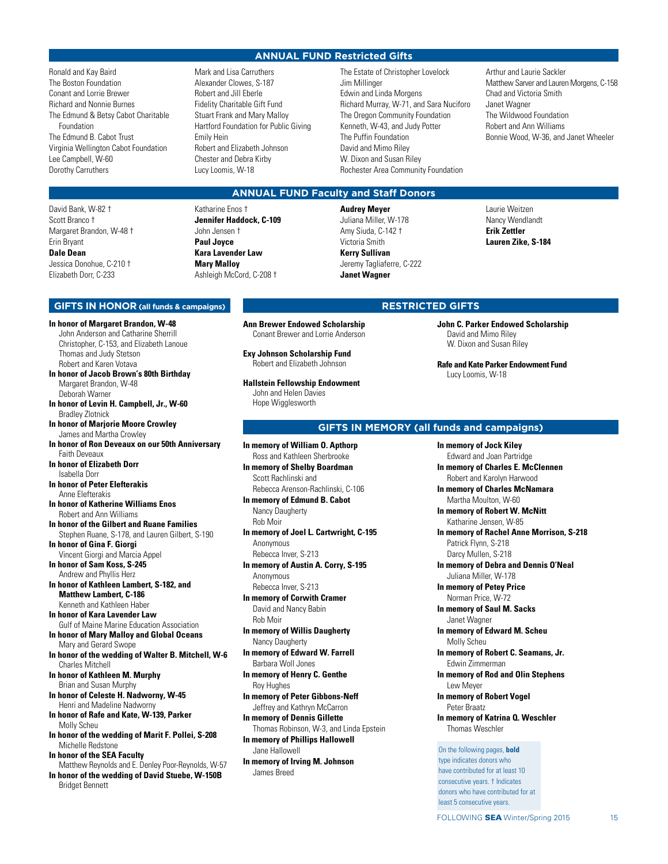# **ANNUAL FUND Restricted Gifts**

Ronald and Kay Baird The Boston Foundation Conant and Lorrie Brewer Richard and Nonnie Burnes The Edmund & Betsy Cabot Charitable Foundation The Edmund B. Cabot Trust Virginia Wellington Cabot Foundation Lee Campbell, W-60 Dorothy Carruthers

David Bank, W-82 † Scott Branco † Margaret Brandon, W-48 † Erin Bryant **Dale Dean** Jessica Donohue, C-210 † Elizabeth Dorr, C-233

Mark and Lisa Carruthers Alexander Clowes, S-187 Robert and Jill Eberle Fidelity Charitable Gift Fund Stuart Frank and Mary Malloy Hartford Foundation for Public Giving Emily Hein Robert and Elizabeth Johnson Chester and Debra Kirby Lucy Loomis, W-18

The Estate of Christopher Lovelock Jim Millinger Edwin and Linda Morgens Richard Murray, W-71, and Sara Nuciforo The Oregon Community Foundation Kenneth, W-43, and Judy Potter The Puffin Foundation David and Mimo Riley W. Dixon and Susan Riley Rochester Area Community Foundation

Arthur and Laurie Sackler Matthew Sarver and Lauren Morgens, C-158 Chad and Victoria Smith Janet Wagner The Wildwood Foundation Robert and Ann Williams Bonnie Wood, W-36, and Janet Wheeler

# **ANNUAL FUND Faculty and Staff Donors**

Katharine Enos † **Jennifer Haddock, C-109** John Jensen † **Paul Joyce Kara Lavender Law Mary Malloy** Ashleigh McCord, C-208 †

**Audrey Meyer** Juliana Miller, W-178 Amy Siuda, C-142 † Victoria Smith **Kerry Sullivan** Jeremy Tagliaferre, C-222 **Janet Wagner**

Laurie Weitzen Nancy Wendlandt **Erik Zettler Lauren Zike, S-184**

# **RESTRICTED GIFTS**

**John C. Parker Endowed Scholarship** David and Mimo Riley W. Dixon and Susan Riley

**Rafe and Kate Parker Endowment Fund** Lucy Loomis, W-18

# **GIFTS IN MEMORY (all funds and campaigns)**

**In memory of Jock Kiley** Edward and Joan Partridge

**In memory of Charles E. McClennen** Robert and Karolyn Harwood

**In memory of Charles McNamara** Martha Moulton, W-60

**In memory of Robert W. McNitt** Katharine Jensen, W-85

**In memory of Rachel Anne Morrison, S-218** Patrick Flynn, S-218 Darcy Mullen, S-218

**In memory of Debra and Dennis O'Neal** Juliana Miller, W-178

**In memory of Petey Price** Norman Price, W-72

**In memory of Saul M. Sacks** Janet Wagner

**In memory of Edward M. Scheu** Molly Scheu

**In memory of Robert C. Seamans, Jr.** Edwin Zimmerman

**In memory of Rod and Olin Stephens** Lew Meyer

**In memory of Robert Vogel** Peter Braatz

**In memory of Katrina Q. Weschler** Thomas Weschler

### On the following pages, **bold**

type indicates donors who have contributed for at least 10 consecutive years. † Indicates donors who have contributed for at least 5 consecutive years.

### **GIFTS IN HONOR (all funds & campaigns)**

**In honor of Margaret Brandon, W-48** John Anderson and Catharine Sherrill Christopher, C-153, and Elizabeth Lanoue Thomas and Judy Stetson Robert and Karen Votava **In honor of Jacob Brown's 80th Birthday** Margaret Brandon, W-48 Deborah Warner **In honor of Levin H. Campbell, Jr., W-60** Bradley Zlotnick **In honor of Marjorie Moore Crowley** James and Martha Crowley **In honor of Ron Deveaux on our 50th Anniversary** Faith Deveaux **In honor of Elizabeth Dorr** Isabella Dorr **In honor of Peter Elefterakis** Anne Elefterakis **In honor of Katherine Williams Enos** Robert and Ann Williams **In honor of the Gilbert and Ruane Families** Stephen Ruane, S-178, and Lauren Gilbert, S-190 **In honor of Gina F. Giorgi** Vincent Giorgi and Marcia Appel **In honor of Sam Koss, S-245** Andrew and Phyllis Herz **In honor of Kathleen Lambert, S-182, and Matthew Lambert, C-186** Kenneth and Kathleen Haber **In honor of Kara Lavender Law** Gulf of Maine Marine Education Association **In honor of Mary Malloy and Global Oceans** Mary and Gerard Swope **In honor of the wedding of Walter B. Mitchell, W-6** Charles Mitchell **In honor of Kathleen M. Murphy** Brian and Susan Murphy **In honor of Celeste H. Nadworny, W-45** Henri and Madeline Nadworny **In honor of Rafe and Kate, W-139, Parker** Molly Scheu **In honor of the wedding of Marit F. Pollei, S-208** Michelle Redstone **In honor of the SEA Faculty** Matthew Reynolds and E. Denley Poor-Reynolds, W-57 **In honor of the wedding of David Stuebe, W-150B** Bridget Bennett

- **Ann Brewer Endowed Scholarship** Conant Brewer and Lorrie Anderson
- **Exy Johnson Scholarship Fund** Robert and Elizabeth Johnson

**Hallstein Fellowship Endowment** John and Helen Davies Hope Wigglesworth

**In memory of William O. Apthorp** Ross and Kathleen Sherbrooke **In memory of Shelby Boardman**

Scott Rachlinski and Rebecca Arenson-Rachlinski, C-106

**In memory of Edmund B. Cabot** Nancy Daugherty Rob Moir

**In memory of Joel L. Cartwright, C-195** Anonymous Rebecca Inver, S-213

**In memory of Austin A. Corry, S-195** Anonymous Rebecca Inver, S-213

**In memory of Corwith Cramer** David and Nancy Babin Rob Moir

**In memory of Willis Daugherty** Nancy Daugherty

**In memory of Edward W. Farrell** Barbara Woll Jones

**In memory of Henry C. Genthe** Roy Hughes

**In memory of Peter Gibbons-Neff** Jeffrey and Kathryn McCarron

**In memory of Dennis Gillette** Thomas Robinson, W-3, and Linda Epstein **In memory of Phillips Hallowell** Jane Hallowell

**In memory of Irving M. Johnson** James Breed

FOLLOWING SEA Winter/Spring 2015 15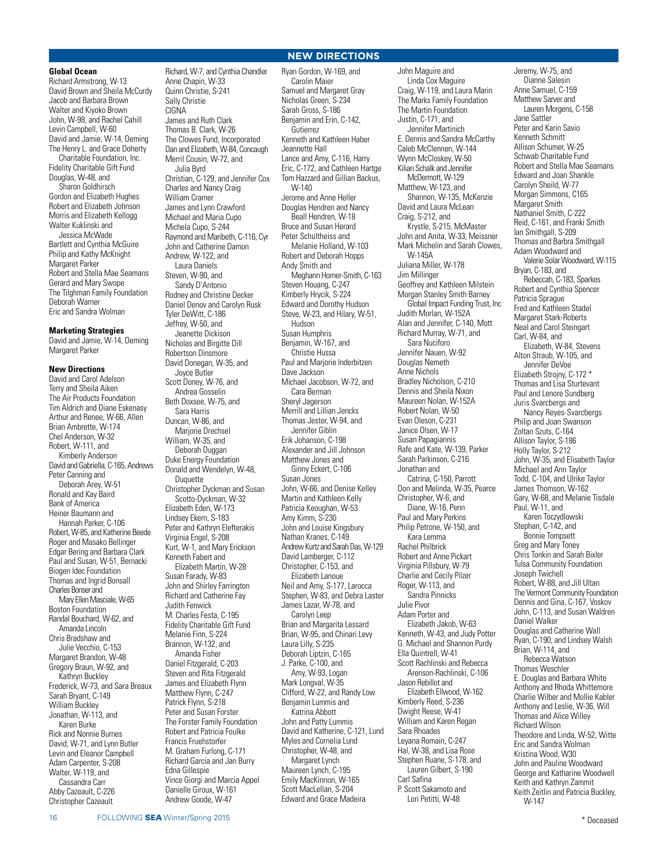# **NEW DIRECTIONS**

# **Global Ocean**

Richard Armstrong, W-13 David Brown and Sheila McCurdy Jacob and Barbara Brown Walter and Kiyoko Brown John, W-98, and Rachel Cahill Levin Campbell, W-60 David and Jamie, W-14, Deming The Henry L. and Grace Doherty Charitable Foundation, Inc. Fidelity Charitable Gift Fund Douglas, W-48, and Sharon Goldhirsch Gordon and Elizabeth Hughes Robert and Elizabeth Johnson Morris and Elizabeth Kellogg Walter Kuklinski and Jessica McWade Bartlett and Cynthia McGuire Philip and Kathy McKnight Margaret Parker Robert and Stella Mae Seamans Gerard and Mary Swope The Tilghman Family Foundation Deborah Warner Eric and Sandra Wolman

#### **Marketing Strategies**

David and Jamie, W-14, Deming Margaret Parker

### **New Directions**

David and Carol Adelson Terry and Sheila Aiken The Air Products Foundation Tim Aldrich and Diane Eskenasy Arthur and Renee, W-66, Allen Brian Ambrette, W-174 Chel Anderson, W-32 Robert, W-111, and Kimberly Anderson David and Gabriella, C-165, Andrews Peter Canning and Deborah Arey, W-51 Ronald and Kay Baird Bank of America Heiner Baumann and Hannah Parker, C-106 Robert, W-85, and Katherine Beede Roger and Masako Bellinger Edgar Bering and Barbara Clark Paul and Susan, W-51, Bernacki Biogen Idec Foundation Thomas and Ingrid Bonsall Charles Bonser and Mary Ellen Masciale, W-65 Boston Foundation Randal Bouchard, W-62, and Amanda Lincoln Chris Bradshaw and Julie Vecchio, C-153 Margaret Brandon, W-48 Gregory Braun, W-92, and Kathryn Buckley Frederick, W-73, and Sara Breaux Sarah Bryant, C-149 William Buckley Jonathan, W-113, and Karen Burke Rick and Nonnie Burnes David, W-71, and Lynn Butler Levin and Eleanor Campbell Adam Carpenter, S-208 Walter, W-119, and Cassandra Carr Abby Cazeault, C-226 Christopher Cazeault

Richard, W-7, and Cynthia Chandler Anne Chapin, W-33 Quinn Christie, S-241 Sally Christie CIGNA James and Ruth Clark Thomas B. Clark, W-26 The Clowes Fund, Incorporated Dan and Elizabeth, W-84, Concaugh Merril Cousin, W-72, and Julia Byrd Christian, C-129, and Jennifer Cox Charles and Nancy Craig William Cramer James and Lynn Crawford Michael and Maria Cupo Michela Cupo, S-244 Raymond and Maribeth, C-116, Cyr John and Catherine Damon Andrew, W-122, and Laura Daniels Steven, W-90, and Sandy D'Antonio Rodney and Christine Decker Daniel Denov and Carolyn Rusk Tyler DeWitt, C-186 Jeffrey, W-50, and Jeanette Dickison Nicholas and Birgitte Dill Robertson Dinsmore David Donegan, W-35, and Joyce Butler Scott Doney, W-76, and Andrea Gosselin Beth Doxsee, W-75, and Sara Harris Duncan, W-86, and Marjorie Drechsel William, W-35, and Deborah Duggan Duke Energy Foundation Donald and Wendelyn, W-48, Duquette Christopher Dyckman and Susan Scotto-Dyckman, W-32 Elizabeth Eden, W-173 Lindsey Ekern, S-183 Peter and Kathryn Elefterakis Virginia Engel, S-208 Kurt, W-1, and Mary Erickson Kenneth Fabert and Elizabeth Martin, W-28 Susan Farady, W-83 John and Shirley Farrington Richard and Catherine Fay Judith Fenwick M. Charles Festa, C-195 Fidelity Charitable Gift Fund Melanie Finn, S-224 Brannon, W-132, and Amanda Fisher Daniel Fitzgerald, C-203 Steven and Rita Fitzgerald James and Elizabeth Flynn Matthew Flynn, C-247 Patrick Flynn, S-218 Peter and Susan Forster The Forster Family Foundation Robert and Patricia Foulke Francis Fruehstorfer M. Graham Furlong, C-171 Richard Garcia and Jan Burry Edna Gillespie Vince Giorgi and Marcia Appel Danielle Giroux, W-161

Ryan Gordon, W-169, and Carolin Maier Samuel and Margaret Gray Nicholas Green, S-234 Sarah Gross, S-186 Benjamin and Erin, C-142, **Gutierrez** Kenneth and Kathleen Haber Jeannette Hall Lance and Amy, C-116, Harry Eric, C-172, and Cathleen Hartge Tom Hazzard and Gillian Backus, W-140 Jerome and Anne Heller Douglas Hendren and Nancy Beall Hendren, W-18 Bruce and Susan Herard Peter Schultheiss and Melanie Holland, W-103 Robert and Deborah Hopps Andy Smith and Meghann Horner-Smith, C-163 Steven Houang, C-247 Kimberly Hrycik, S-224 Edward and Dorothy Hudson Steve, W-23, and Hilary, W-51, Hudson Susan Humphris Benjamin, W-167, and Christie Hussa Paul and Marjorie Inderbitzen Dave Jackson Michael Jacobson, W-72, and Cara Berman Sheryl Jagerson Merrill and Lillian Jencks Thomas Jester, W-94, and Jennifer Giblin Erik Johanson, C-198 Alexander and Jill Johnson Matthew Jones and Ginny Eckert, C-106 Susan Jones John, W-66, and Denise Kelley Martin and Kathleen Kelly Patricia Keoughan, W-53 Amy Kimm, S-230 John and Louise Kingsbury Nathan Kranes, C-149 Andrew Kurtz and Sarah Das, W-129 David Lamberger, C-112 Christopher, C-153, and Elizabeth Lanoue Neil and Amy, S-177, Larocca Stephen, W-83, and Debra Laster James Lazar, W-78, and Carolyn Leep Brian and Margarita Lessard Brian, W-95, and Chinari Levy Laura Lilly, S-235 Deborah Liptzin, C-165 J. Parke, C-100, and Amy, W-93, Logan Mark Longval, W-35 Clifford, W-22, and Randy Low Benjamin Lummis and Katrina Abbott John and Patty Lummis David and Katherine, C-121, Lund Myles and Cornelia Lund Christopher, W-48, and Margaret Lynch Maureen Lynch, C-195 Emily MacKinnon, W-165 Scott MacLellan, S-204 Edward and Grace Madeira

John Maguire and Linda Cox Maguire Craig, W-119, and Laura Marin The Marks Family Foundation The Martin Foundation Justin, C-171, and Jennifer Martinich E. Dennis and Sandra McCarthy Caleb McClennen, W-144 Wynn McCloskey, W-50 Kilian Schalk and Jennifer McDermott, W-129 Matthew, W-123, and Shannon, W-135, McKenzie David and Laura McLean Craig, S-212, and Krystle, S-215, McMaster John and Anita, W-33, Meissner Mark Michelin and Sarah Clowes, W-145A Juliana Miller, W-178 Jim Millinger Geoffrey and Kathleen Milstein Morgan Stanley Smith Barney Global Impact Funding Trust, Inc Judith Morlan, W-152A Alan and Jennifer, C-140, Mott Richard Murray, W-71, and Sara Nuciforo Jennifer Nauen, W-92 Douglas Nemeth Anne Nichols Bradley Nicholson, C-210 Dennis and Sheila Nixon Maureen Nolan, W-152A Robert Nolan, W-50 Evan Oleson, C-231 Janice Olsen, W-17 Susan Papagiannis Rafe and Kate, W-139, Parker Sarah Parkinson, C-216 Jonathan and Catrina, C-150, Parrott Don and Melinda, W-35, Pearce Christopher, W-6, and Diane, W-16, Penn Paul and Mary Perkins Philip Petrone, W-150, and Kara Lemma Rachel Philbrick Robert and Anne Pickart Virginia Pillsbury, W-79 Charlie and Cecily Pilzer Roger, W-113, and Sandra Pinnicks Julie Pivor Adam Porter and Elizabeth Jakob, W-63 Kenneth, W-43, and Judy Potter G. Michael and Shannon Purdy Ella Quintrell, W-41 Scott Rachlinski and Rebecca Arenson-Rachlinski, C-106 Jason Rebillot and Elizabeth Ellwood, W-162 Kimberly Reed, S-236 Dwight Reese, W-41 William and Karen Regan Sara Rhoades Leyana Romain, C-247 Hal, W-38, and Lisa Rose Stephen Ruane, S-178, and Lauren Gilbert, S-190 Carl Safina P. Scott Sakamoto and Lori Petitti, W-48

Jeremy, W-75, and Dianne Salesin Anne Samuel, C-159 Matthew Sarver and Lauren Morgens, C-158 Jane Sattler Peter and Karin Savio Kenneth Schmitt Allison Schumer, W-25 Schwab Charitable Fund Robert and Stella Mae Seamans Edward and Joan Shankle Carolyn Sheild, W-77 Morgan Simmons, C165 Margaret Smith Nathaniel Smith, C-222 Reid, C-161, and Franki Smith Ian Smithgall, S-209 Thomas and Barbra Smithgall Adam Woodward and Valerie Solar Woodward, W-115 Bryan, C-183, and Rebeccah, C-183, Sparkes Robert and Cynthia Spencer Patricia Sprague Fred and Kathleen Stadel Margaret Stark-Roberts Neal and Carol Steingart Carl, W-84, and Elizabeth, W-84, Stevens Alton Straub, W-105, and Jennifer DeVoe Elizabeth Strojny, C-172 \* Thomas and Lisa Sturtevant Paul and Lenore Sundberg Juris Svarcbergs and Nancy Reyes-Svarcbergs Philip and Joan Swanson Zoltan Szuts, C-164 Allison Taylor, S-186 Holly Taylor, S-212 John, W-35, and Elisabeth Taylor Michael and Ann Taylor Todd, C-104, and Ulrike Taylor James Thomson, W-162 Gary, W-68, and Melanie Tisdale Paul, W-11, and Karen Toczydlowski Stephan, C-142, and Bonnie Tompsett Greg and Mary Toney Chris Tonkin and Sarah Bixler Tulsa Community Foundation Joseph Twichell Robert, W-88, and Jill Ultan The Vermont Community Foundation Dennis and Gina, C-167, Voskov John, C-113, and Susan Waldren Daniel Walker Douglas and Catherine Wall Ryan, C-190, and Lindsey Walsh Brian, W-114, and Rebecca Watson Thomas Weschler E. Douglas and Barbara White Anthony and Rhoda Whittemore Charlie Wilber and Mollie Kabler Anthony and Leslie, W-36, Will Thomas and Alice Willey Richard Wilson Theodore and Linda, W-52, Witte Eric and Sandra Wolman Kristina Wood, W30 John and Pauline Woodward George and Katharine Woodwell Keith and Kathryn Zammit Keith Zeitlin and Patricia Buckley, W-147

Andrew Goode, W-47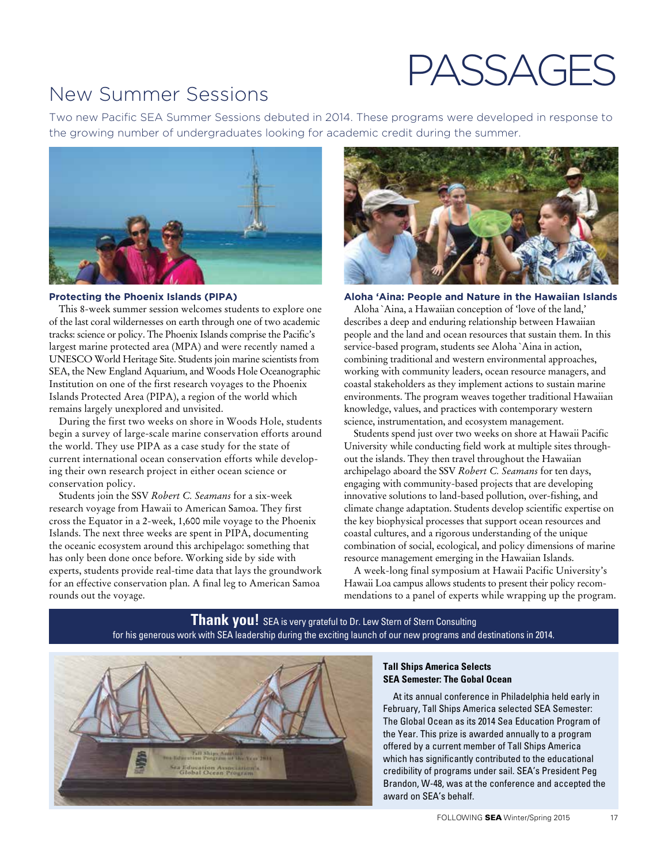# PASSAGES

# New Summer Sessions

Two new Pacific SEA Summer Sessions debuted in 2014. These programs were developed in response to the growing number of undergraduates looking for academic credit during the summer.



# **Protecting the Phoenix Islands (PIPA)**

This 8-week summer session welcomes students to explore one of the last coral wildernesses on earth through one of two academic tracks: science or policy. The Phoenix Islands comprise the Pacific's largest marine protected area (MPA) and were recently named a UNESCO World Heritage Site. Students join marine scientists from SEA, the New England Aquarium, and Woods Hole Oceanographic Institution on one of the first research voyages to the Phoenix Islands Protected Area (PIPA), a region of the world which remains largely unexplored and unvisited.

During the first two weeks on shore in Woods Hole, students begin a survey of large-scale marine conservation efforts around the world. They use PIPA as a case study for the state of current international ocean conservation efforts while developing their own research project in either ocean science or conservation policy.

Students join the SSV *Robert C. Seamans* for a six-week research voyage from Hawaii to American Samoa. They first cross the Equator in a 2-week, 1,600 mile voyage to the Phoenix Islands. The next three weeks are spent in PIPA, documenting the oceanic ecosystem around this archipelago: something that has only been done once before. Working side by side with experts, students provide real-time data that lays the groundwork for an effective conservation plan. A final leg to American Samoa rounds out the voyage.



# **Aloha 'Aina: People and Nature in the Hawaiian Islands**

Aloha `Aina, a Hawaiian conception of 'love of the land,' describes a deep and enduring relationship between Hawaiian people and the land and ocean resources that sustain them. In this service-based program, students see Aloha `Aina in action, combining traditional and western environmental approaches, working with community leaders, ocean resource managers, and coastal stakeholders as they implement actions to sustain marine environments. The program weaves together traditional Hawaiian knowledge, values, and practices with contemporary western science, instrumentation, and ecosystem management.

Students spend just over two weeks on shore at Hawaii Pacific University while conducting field work at multiple sites throughout the islands. They then travel throughout the Hawaiian archipelago aboard the SSV *Robert C. Seamans* for ten days, engaging with community-based projects that are developing innovative solutions to land-based pollution, over-fishing, and climate change adaptation. Students develop scientific expertise on the key biophysical processes that support ocean resources and coastal cultures, and a rigorous understanding of the unique combination of social, ecological, and policy dimensions of marine resource management emerging in the Hawaiian Islands.

A week-long final symposium at Hawaii Pacific University's Hawaii Loa campus allows students to present their policy recommendations to a panel of experts while wrapping up the program.

**Thank you!** SEA is very grateful to Dr. Lew Stern of Stern Consulting for his generous work with SEA leadership during the exciting launch of our new programs and destinations in 2014.



# **Tall Ships America Selects SEA Semester: The Gobal Ocean**

At its annual conference in Philadelphia held early in February, Tall Ships America selected SEA Semester: The Global Ocean as its 2014 Sea Education Program of the Year. This prize is awarded annually to a program offered by a current member of Tall Ships America which has significantly contributed to the educational credibility of programs under sail. SEA's President Peg Brandon, W-48, was at the conference and accepted the award on SEA's behalf.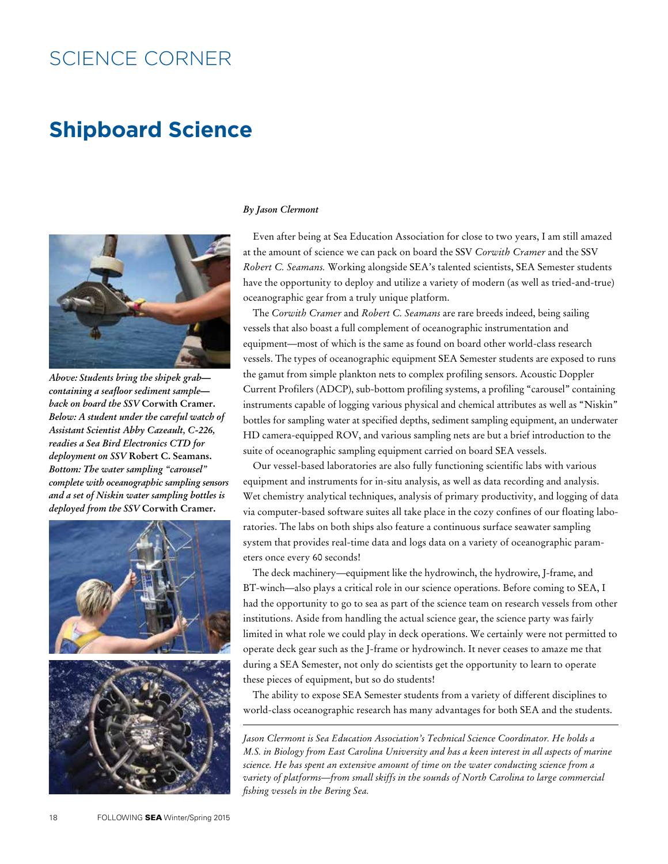# SCIENCE CORNER

# **Shipboard Science**



*Above: Students bring the shipek grab containing a seafloor sediment sample back on board the SSV* **Corwith Cramer.**  *Below: A student under the careful watch of Assistant Scientist Abby Cazeault, C-226, readies a Sea Bird Electronics CTD for deployment on SSV* **Robert C. Seamans.** *Bottom: The water sampling "carousel" complete with oceanographic sampling sensors and a set of Niskin water sampling bottles is deployed from the SSV* **Corwith Cramer.**



### *By Jason Clermont*

Even after being at Sea Education Association for close to two years, I am still amazed at the amount of science we can pack on board the SSV *Corwith Cramer* and the SSV *Robert C. Seamans.* Working alongside SEA's talented scientists, SEA Semester students have the opportunity to deploy and utilize a variety of modern (as well as tried-and-true) oceanographic gear from a truly unique platform.

The *Corwith Cramer* and *Robert C. Seamans* are rare breeds indeed, being sailing vessels that also boast a full complement of oceanographic instrumentation and equipment—most of which is the same as found on board other world-class research vessels. The types of oceanographic equipment SEA Semester students are exposed to runs the gamut from simple plankton nets to complex profiling sensors. Acoustic Doppler Current Profilers (ADCP), sub-bottom profiling systems, a profiling "carousel" containing instruments capable of logging various physical and chemical attributes as well as "Niskin" bottles for sampling water at specified depths, sediment sampling equipment, an underwater HD camera-equipped ROV, and various sampling nets are but a brief introduction to the suite of oceanographic sampling equipment carried on board SEA vessels.

Our vessel-based laboratories are also fully functioning scientific labs with various equipment and instruments for in-situ analysis, as well as data recording and analysis. Wet chemistry analytical techniques, analysis of primary productivity, and logging of data via computer-based software suites all take place in the cozy confines of our floating laboratories. The labs on both ships also feature a continuous surface seawater sampling system that provides real-time data and logs data on a variety of oceanographic parameters once every 60 seconds!

The deck machinery—equipment like the hydrowinch, the hydrowire, J-frame, and BT-winch—also plays a critical role in our science operations. Before coming to SEA, I had the opportunity to go to sea as part of the science team on research vessels from other institutions. Aside from handling the actual science gear, the science party was fairly limited in what role we could play in deck operations. We certainly were not permitted to operate deck gear such as the J-frame or hydrowinch. It never ceases to amaze me that during a SEA Semester, not only do scientists get the opportunity to learn to operate these pieces of equipment, but so do students!

The ability to expose SEA Semester students from a variety of different disciplines to world-class oceanographic research has many advantages for both SEA and the students.

*Jason Clermont is Sea Education Association's Technical Science Coordinator. He holds a M.S. in Biology from East Carolina University and has a keen interest in all aspects of marine science. He has spent an extensive amount of time on the water conducting science from a variety of platforms—from small skiffs in the sounds of North Carolina to large commercial fishing vessels in the Bering Sea.*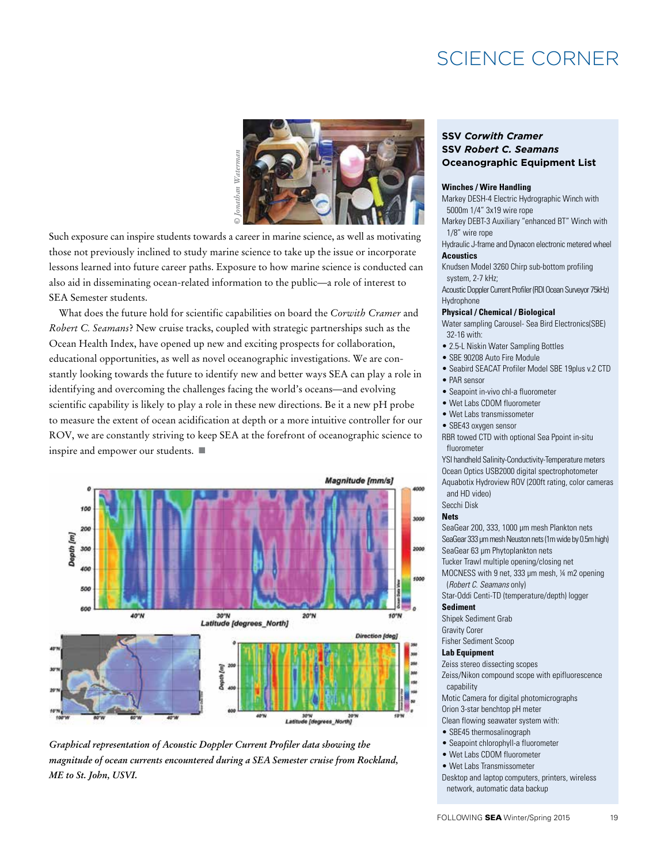# SCIENCE CORNER



Such exposure can inspire students towards a career in marine science, as well as motivating those not previously inclined to study marine science to take up the issue or incorporate lessons learned into future career paths. Exposure to how marine science is conducted can also aid in disseminating ocean-related information to the public—a role of interest to SEA Semester students.

What does the future hold for scientific capabilities on board the *Corwith Cramer* and *Robert C. Seamans*? New cruise tracks, coupled with strategic partnerships such as the Ocean Health Index, have opened up new and exciting prospects for collaboration, educational opportunities, as well as novel oceanographic investigations. We are constantly looking towards the future to identify new and better ways SEA can play a role in identifying and overcoming the challenges facing the world's oceans—and evolving scientific capability is likely to play a role in these new directions. Be it a new pH probe to measure the extent of ocean acidification at depth or a more intuitive controller for our ROV, we are constantly striving to keep SEA at the forefront of oceanographic science to inspire and empower our students.  $\blacksquare$ 





# **SSV** *Corwith Cramer* **SSV** *Robert C. Seamans* **Oceanographic Equipment List**

### **Winches / Wire Handling**

Markey DESH-4 Electric Hydrographic Winch with 5000m 1/4" 3x19 wire rope

- Markey DEBT-3 Auxiliary "enhanced BT" Winch with 1/8" wire rope
- Hydraulic J-frame and Dynacon electronic metered wheel **Acoustics**

Knudsen Model 3260 Chirp sub-bottom profiling system, 2-7 kHz;

Acoustic Doppler Current Profiler (RDI Ocean Surveyor 75kHz) Hydrophone

### **Physical / Chemical / Biological**

Water sampling Carousel- Sea Bird Electronics(SBE) 32-16 with:

- 2.5-L Niskin Water Sampling Bottles
- SBE 90208 Auto Fire Module
- Seabird SEACAT Profiler Model SBE 19plus v.2 CTD
- PAR sensor
- Seapoint in-vivo chl-a fluorometer • Wet Labs CDOM fluorometer
- Wet Labs transmissometer
- SBE43 oxygen sensor

RBR towed CTD with optional Sea Ppoint in-situ fluorometer

YSI handheld Salinity-Conductivity-Temperature meters Ocean Optics USB2000 digital spectrophotometer Aquabotix Hydroview ROV (200ft rating, color cameras and HD video)

Secchi Disk

#### **Nets**

SeaGear 200, 333, 1000 μm mesh Plankton nets SeaGear 333 μm mesh Neuston nets (1m wide by 0.5m high) SeaGear 63 μm Phytoplankton nets

Tucker Trawl multiple opening/closing net

MOCNESS with 9 net, 333 μm mesh, ¼ m2 opening

(*Robert C. Seamans* only)

Star-Oddi Centi-TD (temperature/depth) logger

# **Sediment**

Shipek Sediment Grab

Gravity Corer

Fisher Sediment Scoop

# **Lab Equipment**

Zeiss stereo dissecting scopes

Zeiss/Nikon compound scope with epifluorescence capability

- Motic Camera for digital photomicrographs
- Orion 3-star benchtop pH meter
- Clean flowing seawater system with:
- SBE45 thermosalinograph
- Seapoint chlorophyll-a fluorometer
- Wet Labs CDOM fluorometer
- Wet Labs Transmissometer

Desktop and laptop computers, printers, wireless network, automatic data backup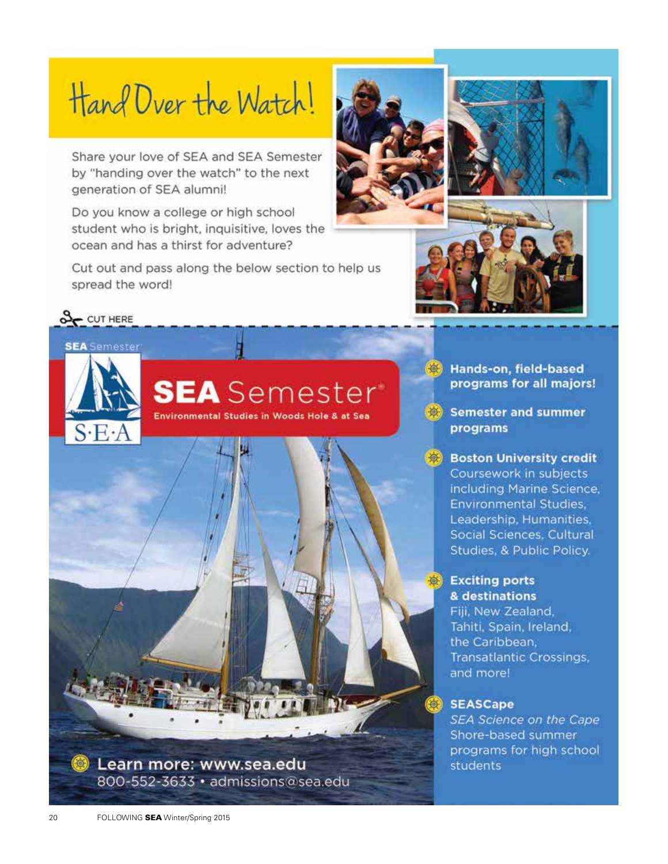# Hand Over the Watch!

Share your love of SEA and SEA Semester by "handing over the watch" to the next generation of SEA alumni!

Do you know a college or high school student who is bright, inquisitive, loves the ocean and has a thirst for adventure?

Cut out and pass along the below section to help us spread the word!









**SEA** Semester

**SEA** Semester

Environmental Studies in Woods Hole & at Sea

Hands-on, field-based programs for all majors!

Semester and summer programs

**Boston University credit** Coursework in subjects including Marine Science, Environmental Studies, Leadership, Humanities, Social Sciences, Cultural Studies, & Public Policy.

# **Exciting ports** & destinations

Fiji, New Zealand, Tahiti, Spain, Ireland, the Caribbean, **Transatlantic Crossings,** and more!

# SEASCape

SEA Science on the Cape Shore-based summer programs for high school students

Learn more: www.sea.edu 800-552-3633 · admissions@sea.edu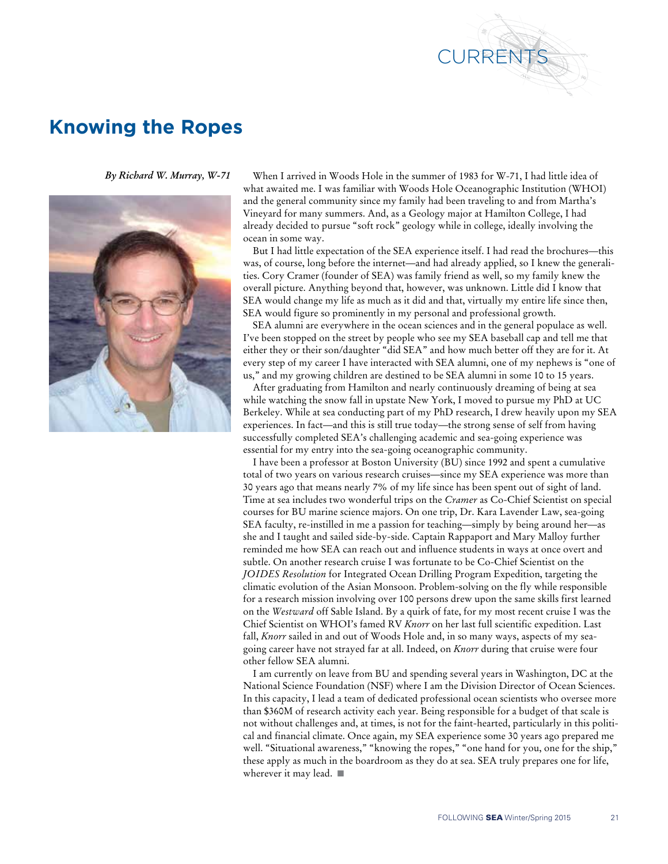

# **Knowing the Ropes**

*By Richard W. Murray, W-71*



When I arrived in Woods Hole in the summer of 1983 for W-71, I had little idea of what awaited me. I was familiar with Woods Hole Oceanographic Institution (WHOI) and the general community since my family had been traveling to and from Martha's Vineyard for many summers. And, as a Geology major at Hamilton College, I had already decided to pursue "soft rock" geology while in college, ideally involving the ocean in some way.

But I had little expectation of the SEA experience itself. I had read the brochures—this was, of course, long before the internet—and had already applied, so I knew the generalities. Cory Cramer (founder of SEA) was family friend as well, so my family knew the overall picture. Anything beyond that, however, was unknown. Little did I know that SEA would change my life as much as it did and that, virtually my entire life since then, SEA would figure so prominently in my personal and professional growth.

SEA alumni are everywhere in the ocean sciences and in the general populace as well. I've been stopped on the street by people who see my SEA baseball cap and tell me that either they or their son/daughter "did SEA" and how much better off they are for it. At every step of my career I have interacted with SEA alumni, one of my nephews is "one of us," and my growing children are destined to be SEA alumni in some 10 to 15 years.

After graduating from Hamilton and nearly continuously dreaming of being at sea while watching the snow fall in upstate New York, I moved to pursue my PhD at UC Berkeley. While at sea conducting part of my PhD research, I drew heavily upon my SEA experiences. In fact—and this is still true today—the strong sense of self from having successfully completed SEA's challenging academic and sea-going experience was essential for my entry into the sea-going oceanographic community.

I have been a professor at Boston University (BU) since 1992 and spent a cumulative total of two years on various research cruises—since my SEA experience was more than 30 years ago that means nearly 7% of my life since has been spent out of sight of land. Time at sea includes two wonderful trips on the *Cramer* as Co-Chief Scientist on special courses for BU marine science majors. On one trip, Dr. Kara Lavender Law, sea-going SEA faculty, re-instilled in me a passion for teaching—simply by being around her—as she and I taught and sailed side-by-side. Captain Rappaport and Mary Malloy further reminded me how SEA can reach out and influence students in ways at once overt and subtle. On another research cruise I was fortunate to be Co-Chief Scientist on the *JOIDES Resolution* for Integrated Ocean Drilling Program Expedition, targeting the climatic evolution of the Asian Monsoon. Problem-solving on the fly while responsible for a research mission involving over 100 persons drew upon the same skills first learned on the *Westward* off Sable Island. By a quirk of fate, for my most recent cruise I was the Chief Scientist on WHOI's famed RV *Knorr* on her last full scientific expedition. Last fall, *Knorr* sailed in and out of Woods Hole and, in so many ways, aspects of my seagoing career have not strayed far at all. Indeed, on *Knorr* during that cruise were four other fellow SEA alumni.

I am currently on leave from BU and spending several years in Washington, DC at the National Science Foundation (NSF) where I am the Division Director of Ocean Sciences. In this capacity, I lead a team of dedicated professional ocean scientists who oversee more than \$360M of research activity each year. Being responsible for a budget of that scale is not without challenges and, at times, is not for the faint-hearted, particularly in this political and financial climate. Once again, my SEA experience some 30 years ago prepared me well. "Situational awareness," "knowing the ropes," "one hand for you, one for the ship," these apply as much in the boardroom as they do at sea. SEA truly prepares one for life, wherever it may lead.  $\blacksquare$